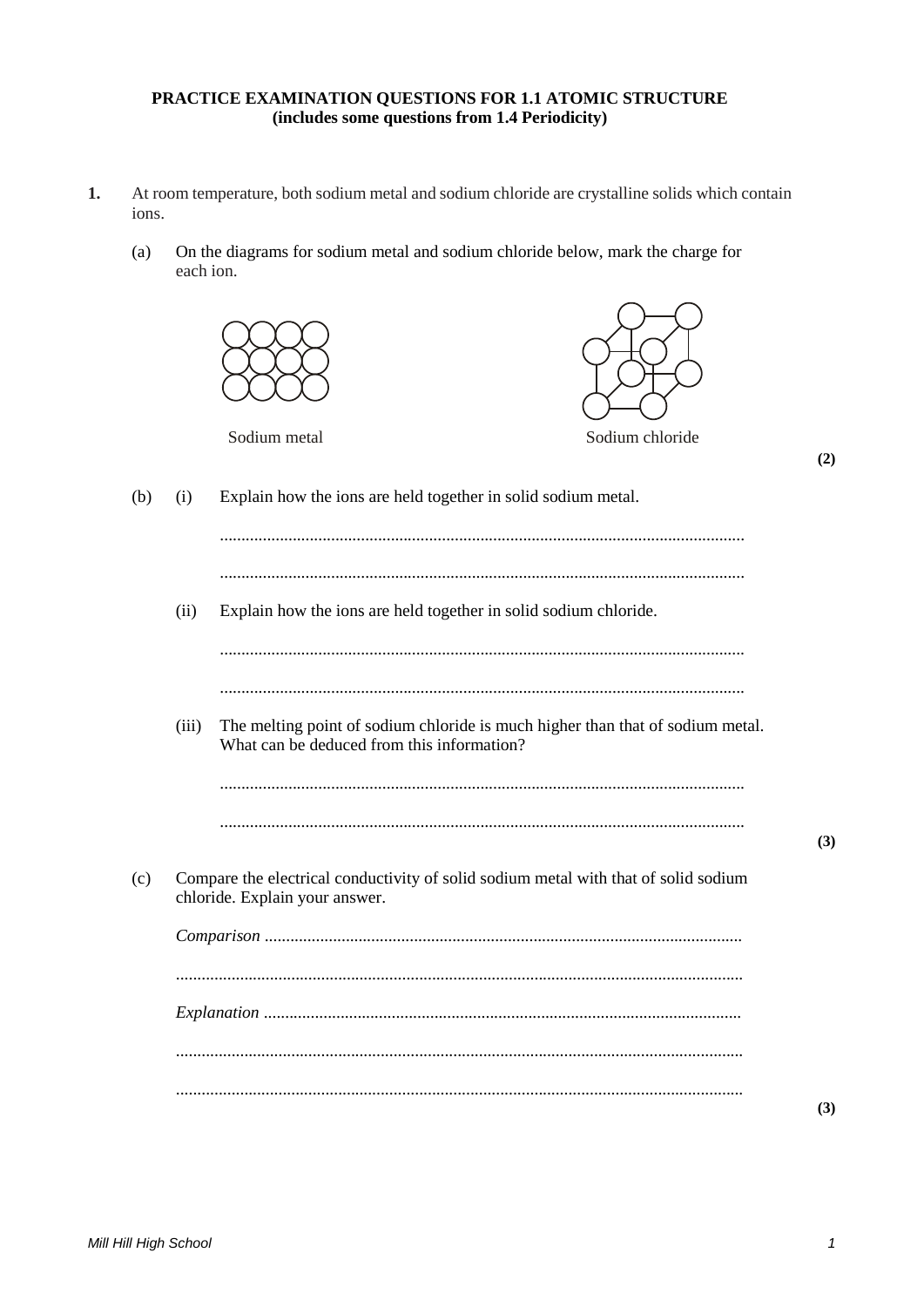# **PRACTICE EXAMINATION QUESTIONS FOR 1.1 ATOMIC STRUCTURE (includes some questions from 1.4 Periodicity)**

- **1.** At room temperature, both sodium metal and sodium chloride are crystalline solids which contain ions.
	- (a) On the diagrams for sodium metal and sodium chloride below, mark the charge for each ion.

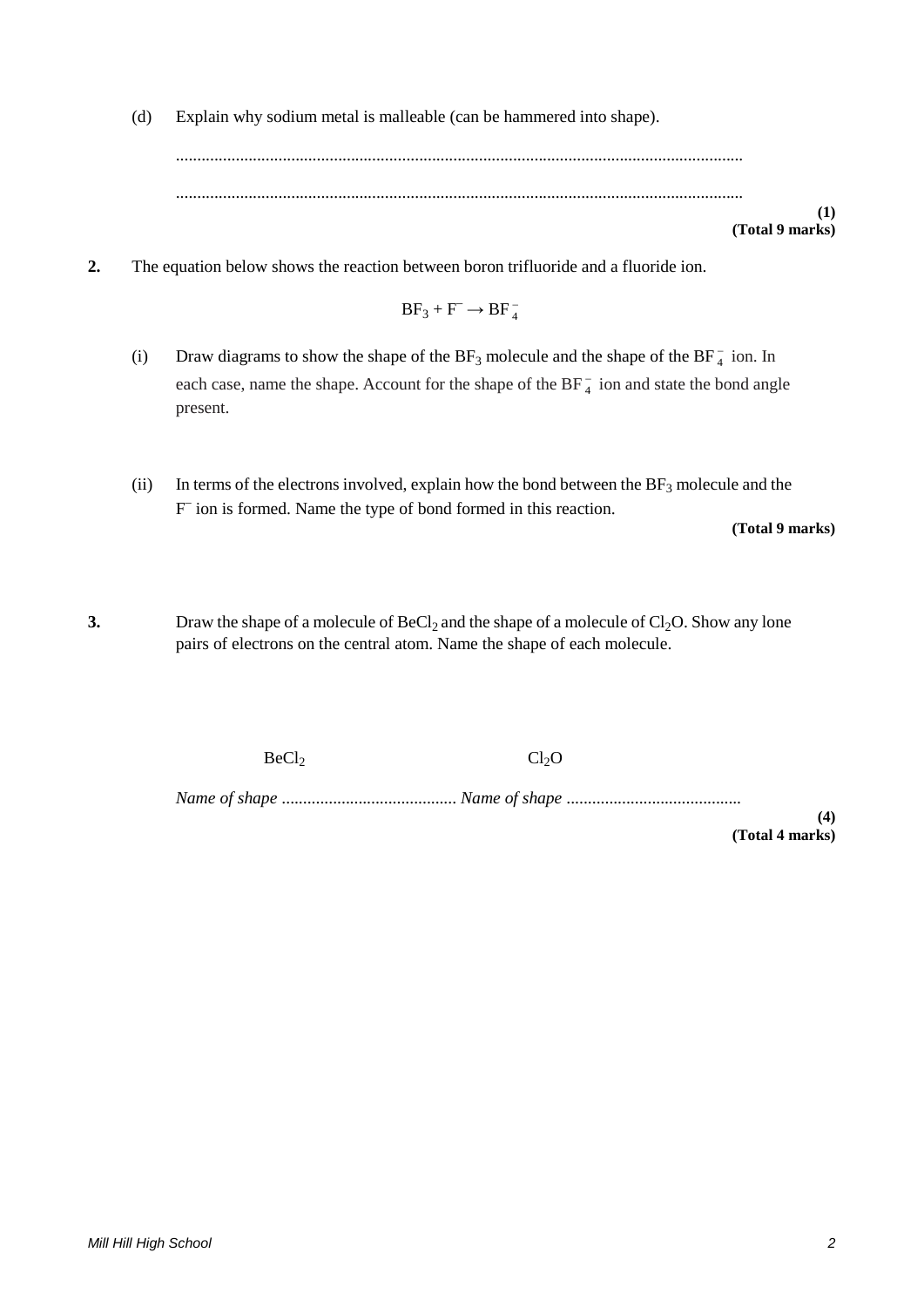(d) Explain why sodium metal is malleable (can be hammered into shape).

..................................................................................................................................... .....................................................................................................................................

**(1) (Total 9 marks)**

**2.** The equation below shows the reaction between boron trifluoride and a fluoride ion.

$$
BF_3+F^-\to BF_4^-
$$

- (i) Draw diagrams to show the shape of the  $BF_3$  molecule and the shape of the  $BF_4^-$  ion. In each case, name the shape. Account for the shape of the  $BF_4^-$  ion and state the bond angle present.
- (ii) In terms of the electrons involved, explain how the bond between the  $BF_3$  molecule and the F– ion is formed. Name the type of bond formed in this reaction.

**(Total 9 marks)**

**3.** Draw the shape of a molecule of  $BeCl<sub>2</sub>$  and the shape of a molecule of  $Cl<sub>2</sub>O$ . Show any lone pairs of electrons on the central atom. Name the shape of each molecule.

 $BeCl<sub>2</sub>$  Cl<sub>2</sub>O

*Name of shape* ......................................... *Name of shape* .........................................

**(4) (Total 4 marks)**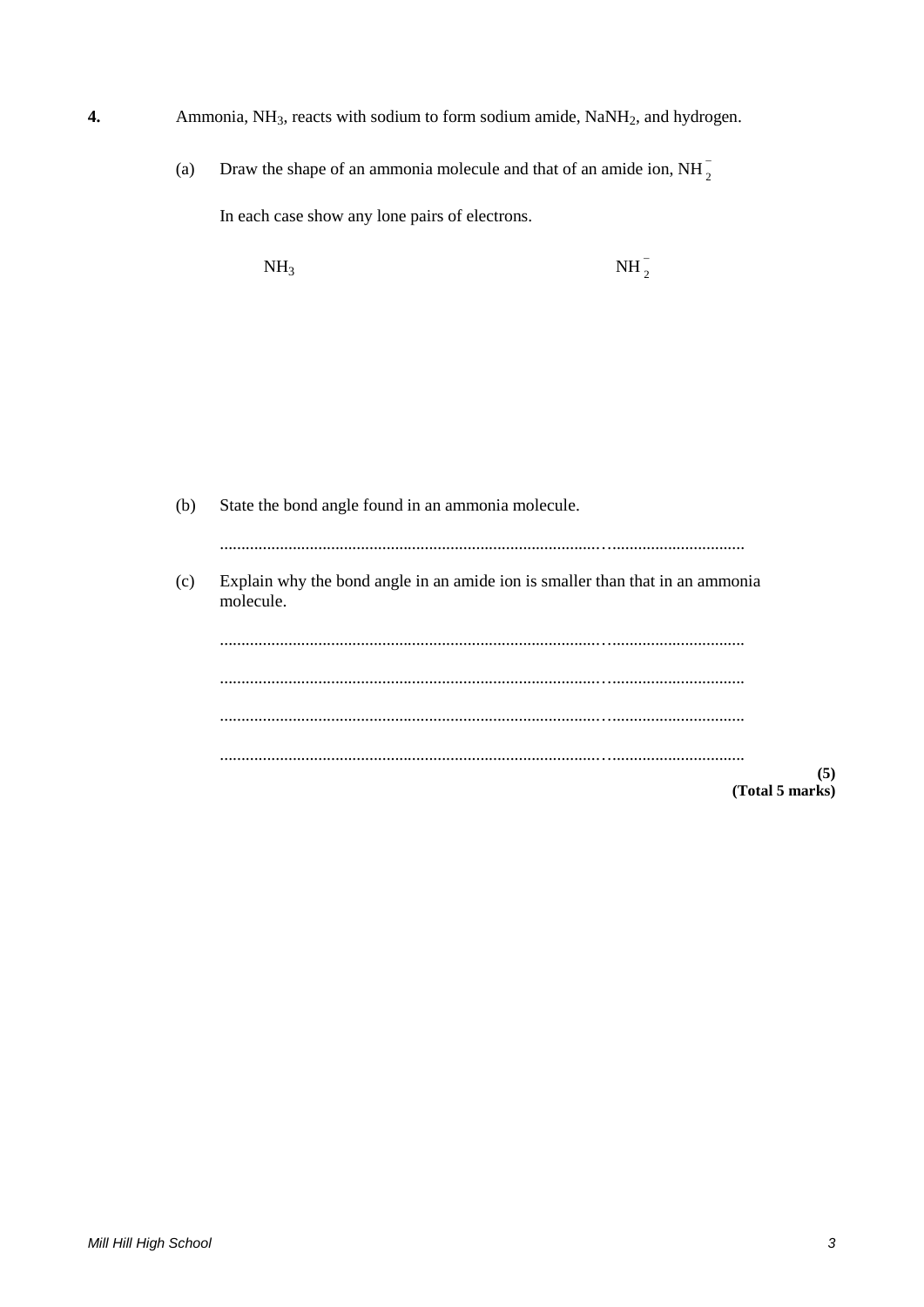- **4.** Ammonia, NH<sub>3</sub>, reacts with sodium to form sodium amide, NaNH<sub>2</sub>, and hydrogen.
	- (a) Draw the shape of an ammonia molecule and that of an amide ion, NH $_2^-$ In each case show any lone pairs of electrons.

 $NH<sub>3</sub>$  NH<sub>2</sub>  $NH_2^-$ 

(b) State the bond angle found in an ammonia molecule. ........................................................................................…............................... (c) Explain why the bond angle in an amide ion is smaller than that in an ammonia molecule. ........................................................................................…............................... ........................................................................................…............................... ........................................................................................…............................... ........................................................................................…............................... **(5) (Total 5 marks)**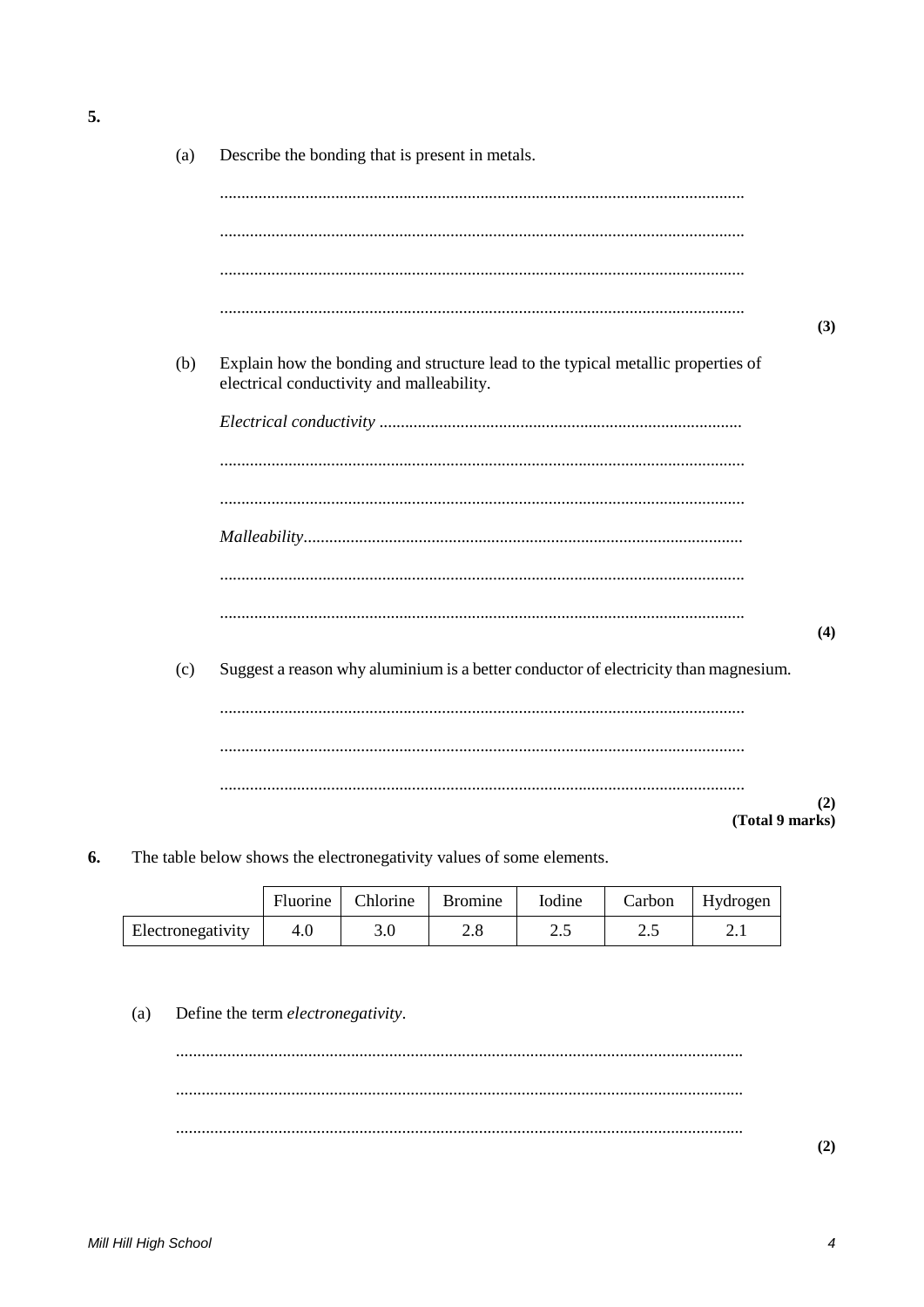| (a) | Describe the bonding that is present in metals.                                                                               |     |
|-----|-------------------------------------------------------------------------------------------------------------------------------|-----|
|     |                                                                                                                               |     |
|     |                                                                                                                               |     |
|     |                                                                                                                               |     |
|     |                                                                                                                               | (3) |
| (b) | Explain how the bonding and structure lead to the typical metallic properties of<br>electrical conductivity and malleability. |     |
|     |                                                                                                                               |     |
|     |                                                                                                                               |     |
|     |                                                                                                                               |     |
|     |                                                                                                                               |     |
|     |                                                                                                                               |     |
|     |                                                                                                                               | (4) |
| (c) | Suggest a reason why aluminium is a better conductor of electricity than magnesium.                                           |     |
|     |                                                                                                                               |     |
|     |                                                                                                                               |     |
|     |                                                                                                                               | (2) |
|     | (Total 9 marks)                                                                                                               |     |

6. The table below shows the electronegativity values of some elements.

|                   | Fluorine | Chlorine | <b>Bromine</b> | Iodine | Carbon | Hydrogen           |
|-------------------|----------|----------|----------------|--------|--------|--------------------|
| Electronegativity | 4.0      | 3.0      | ۵.۵            | ر…     | ر. ۷   | $\overline{2}$ . 1 |

 $(a)$ Define the term electronegativity.

5.

 $(2)$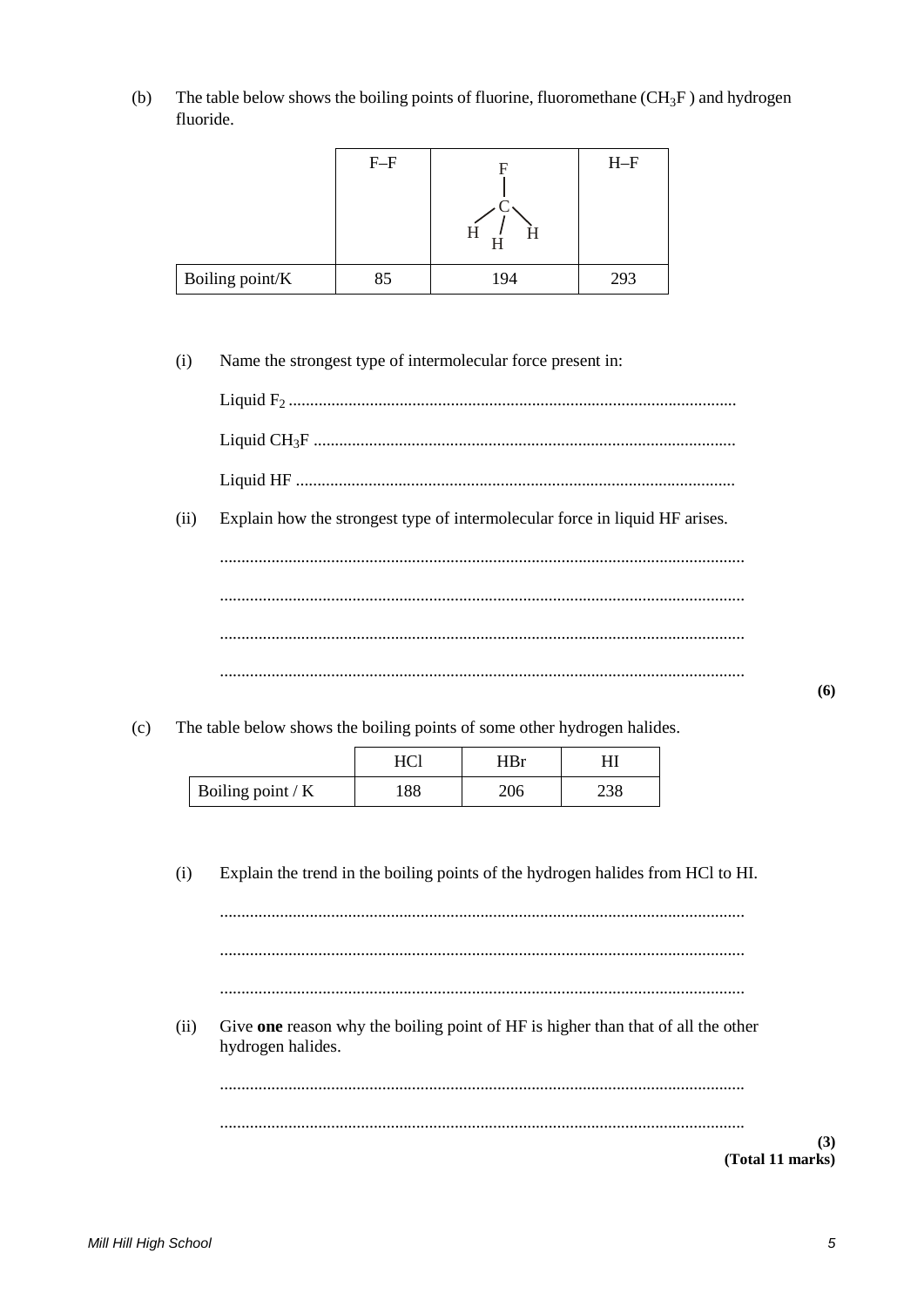The table below shows the boiling points of fluorine, fluoromethane  $(CH_3F)$  and hydrogen  $(b)$ fluoride.

|                 | $F-F$ | H   | $H-F$ |
|-----------------|-------|-----|-------|
| Boiling point/K | 85    | 194 | 293   |

 $(i)$ Name the strongest type of intermolecular force present in:

| (ii) | Explain how the strongest type of intermolecular force in liquid HF arises. |
|------|-----------------------------------------------------------------------------|
|      |                                                                             |
|      |                                                                             |
|      |                                                                             |
|      |                                                                             |

 $(c)$ The table below shows the boiling points of some other hydrogen halides.

|                   |                  | 'IRr |     |
|-------------------|------------------|------|-----|
| Boiling point / K | $\circ$<br>1 O O | 206  | 290 |

 $(i)$ Explain the trend in the boiling points of the hydrogen halides from HCl to HI.

 $\cdots$ 

 $(ii)$ Give one reason why the boiling point of HF is higher than that of all the other hydrogen halides.

 $(3)$ 

(Total 11 marks)

 $(6)$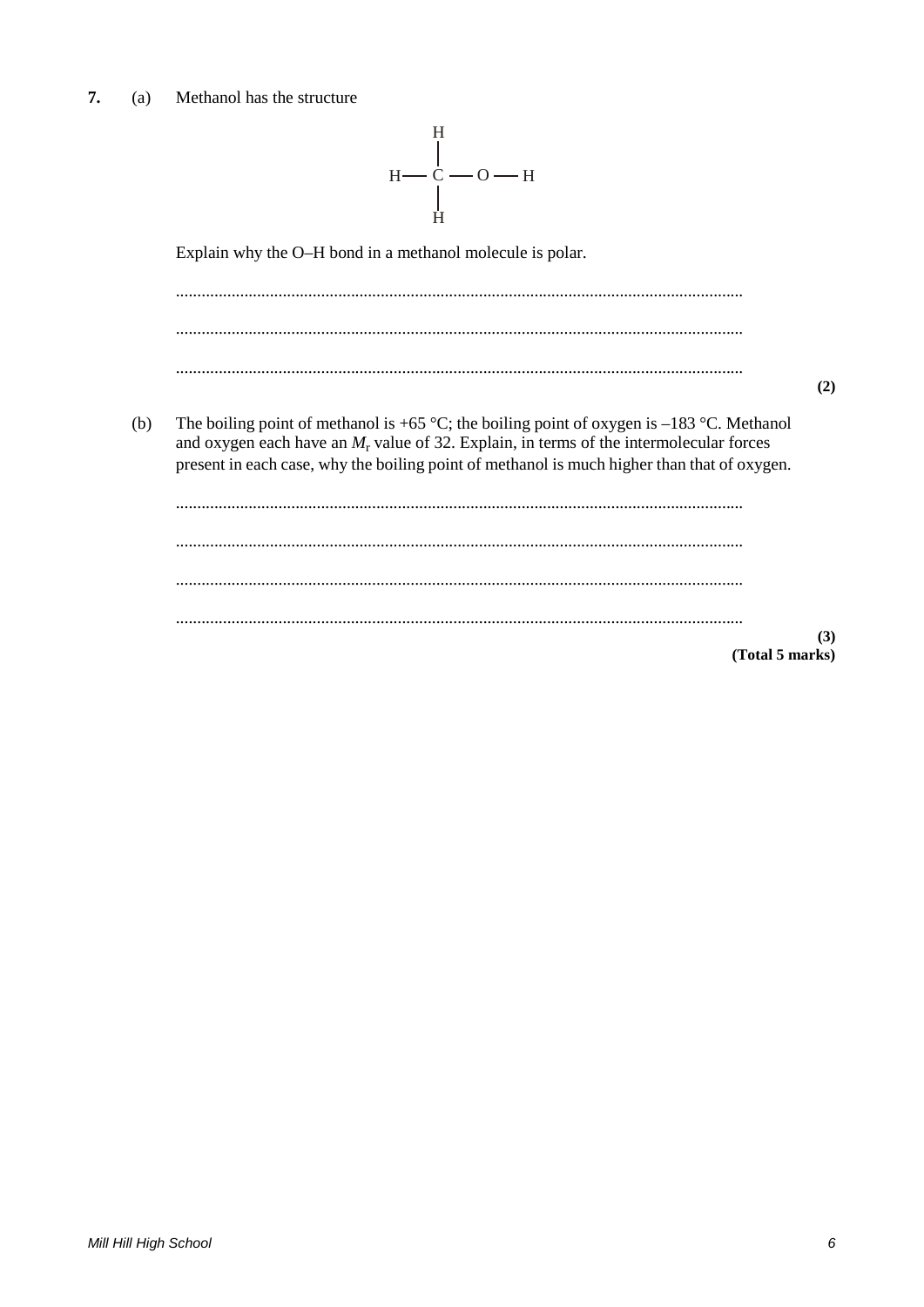#### $7.$ Methanol has the structure  $(a)$

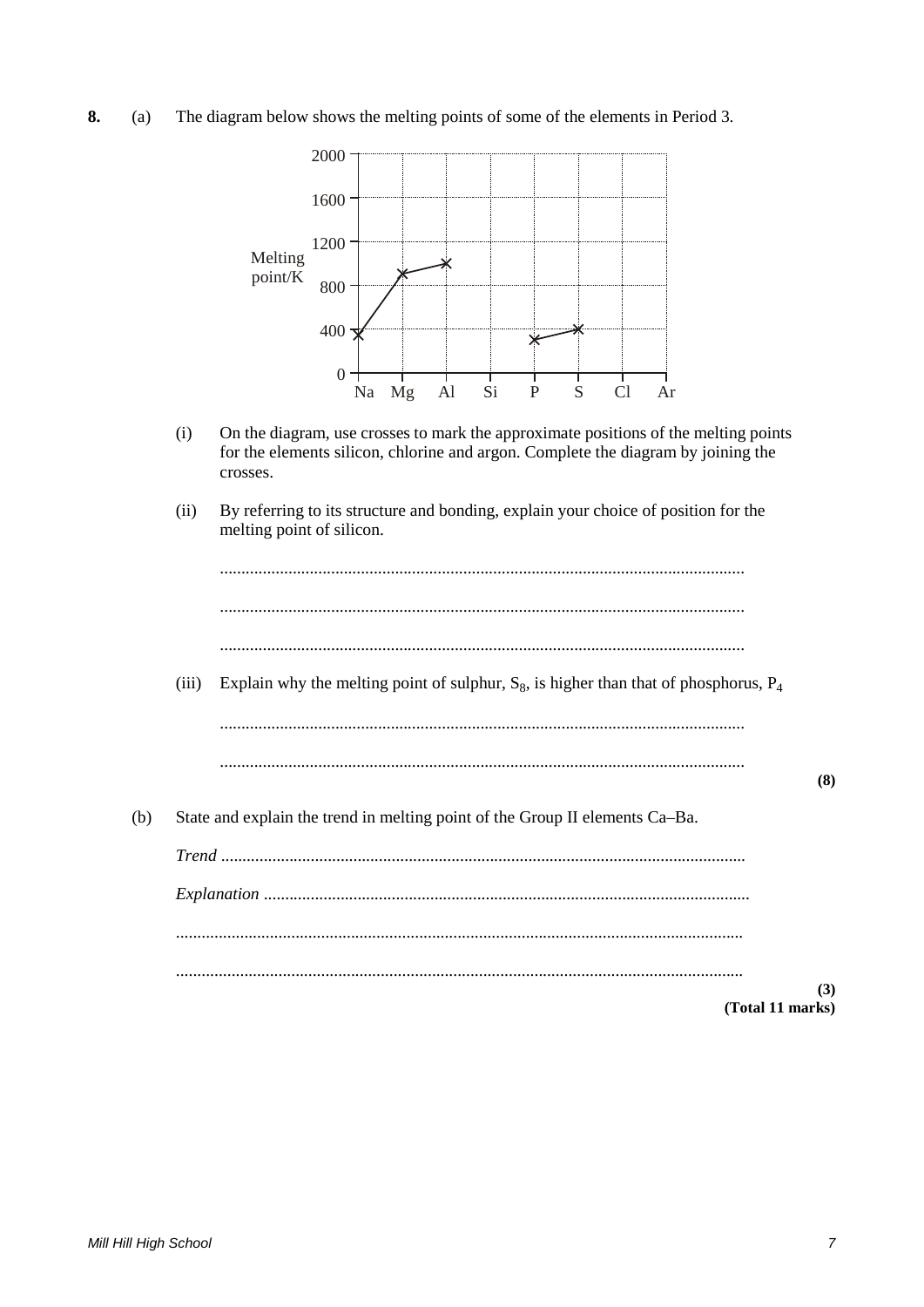**8.** (a) The diagram below shows the melting points of some of the elements in Period 3.



- (i) On the diagram, use crosses to mark the approximate positions of the melting points for the elements silicon, chlorine and argon. Complete the diagram by joining the crosses.
- (ii) By referring to its structure and bonding, explain your choice of position for the melting point of silicon.



(iii) Explain why the melting point of sulphur,  $S_8$ , is higher than that of phosphorus,  $P_4$ 

...........................................................................................................................

- ...........................................................................................................................
- (b) State and explain the trend in melting point of the Group II elements Ca–Ba.

*Trend* ........................................................................................................................... *Explanation* .................................................................................................................. ..................................................................................................................................... ..................................................................................................................................... **(Total 11 marks)**

**(8)**

**(3)**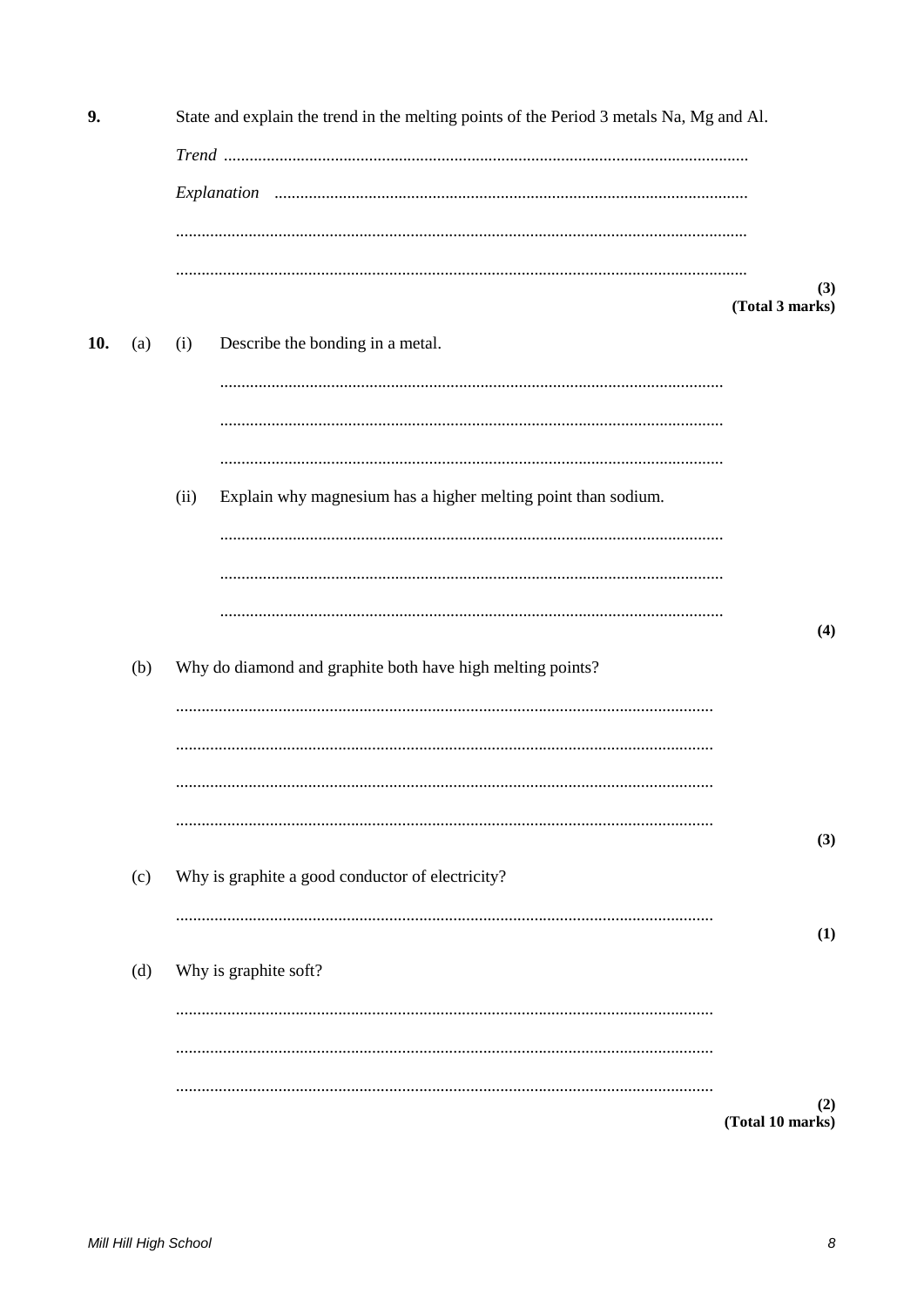9. State and explain the trend in the melting points of the Period 3 metals Na, Mg and Al.  $(3)$ (Total 3 marks) Describe the bonding in a metal. 10.  $(a)$  $(i)$  $(ii)$ Explain why magnesium has a higher melting point than sodium.  $(4)$ Why do diamond and graphite both have high melting points?  $(b)$  $(3)$ Why is graphite a good conductor of electricity?  $(c)$  $(1)$  $(d)$ Why is graphite soft?  $(2)$ (Total 10 marks)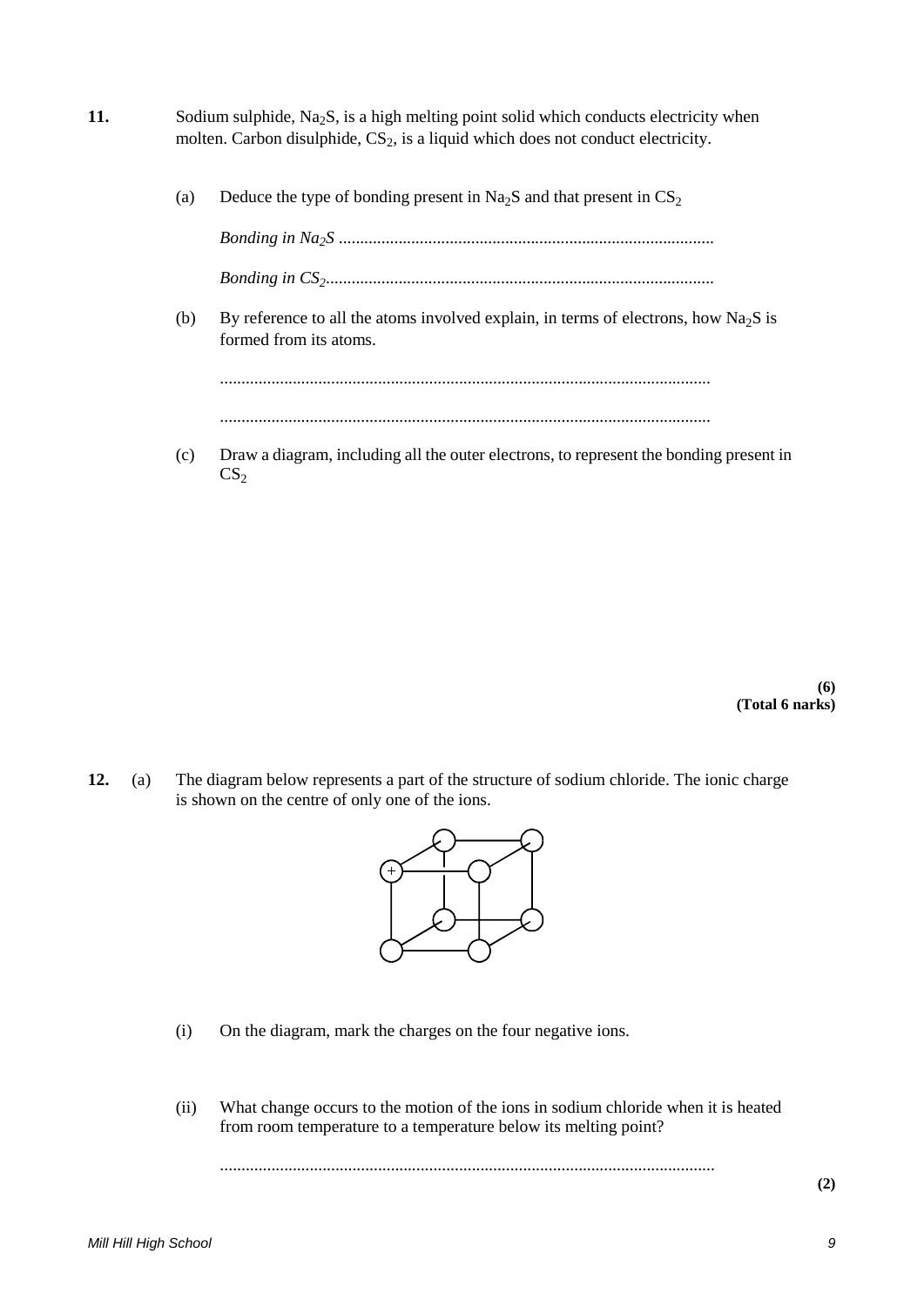- **11.** Sodium sulphide, Na<sub>2</sub>S, is a high melting point solid which conducts electricity when molten. Carbon disulphide,  $CS_2$ , is a liquid which does not conduct electricity.
	- (a) Deduce the type of bonding present in Na<sub>2</sub>S and that present in  $CS<sub>2</sub>$

*Bonding in Na2S* ........................................................................................ *Bonding in CS2*...........................................................................................

(b) By reference to all the atoms involved explain, in terms of electrons, how Na<sub>2</sub>S is formed from its atoms.

................................................................................................................... ...................................................................................................................

(c) Draw a diagram, including all the outer electrons, to represent the bonding present in  $CS<sub>2</sub>$ 

> **(6) (Total 6 narks)**

**12.** (a) The diagram below represents a part of the structure of sodium chloride. The ionic charge is shown on the centre of only one of the ions.



- (i) On the diagram, mark the charges on the four negative ions.
- (ii) What change occurs to the motion of the ions in sodium chloride when it is heated from room temperature to a temperature below its melting point?

....................................................................................................................

**(2)**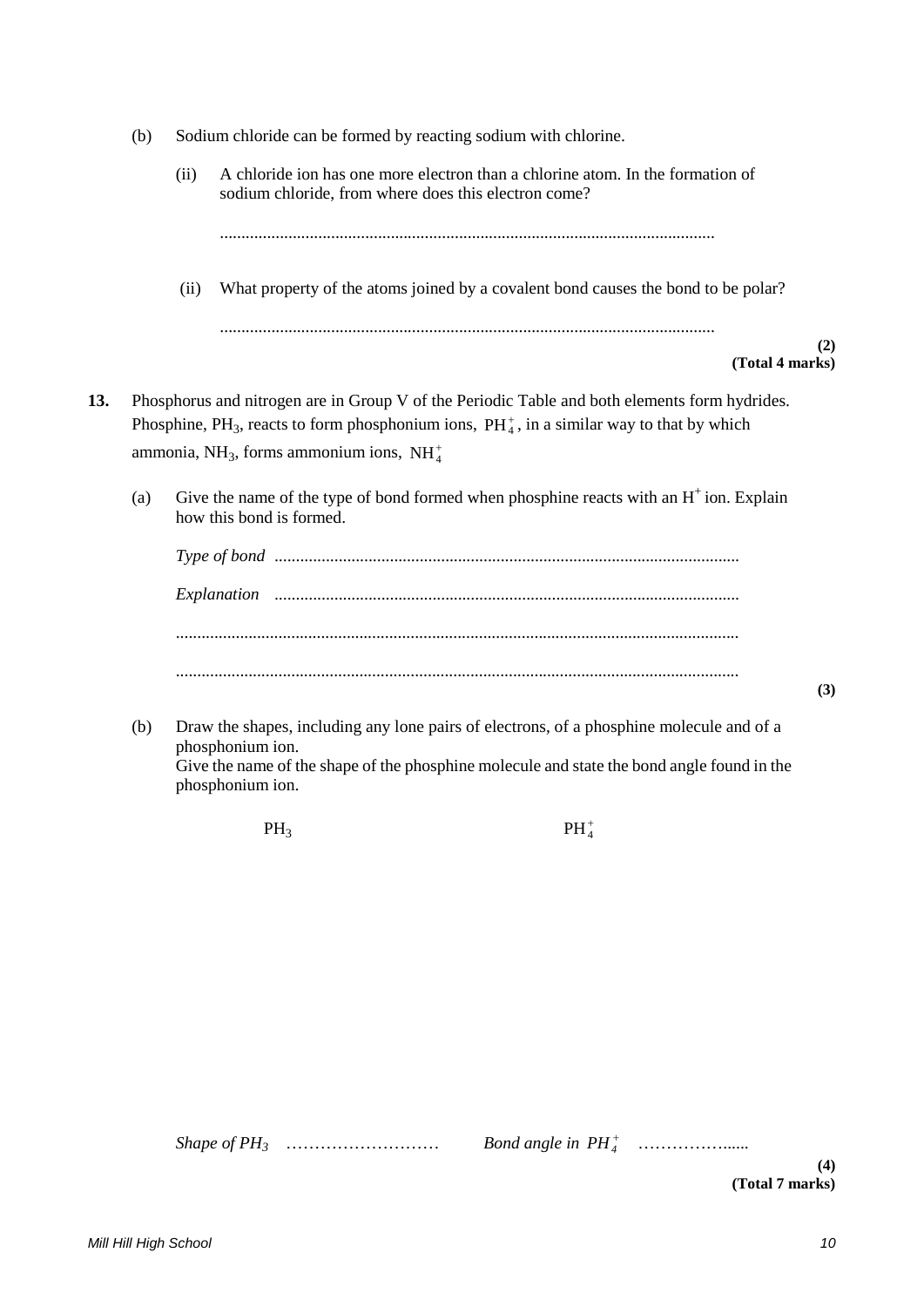|     | (b) | Sodium chloride can be formed by reacting sodium with chlorine. |                                                                                                                                                                                                                                                                        |     |  |
|-----|-----|-----------------------------------------------------------------|------------------------------------------------------------------------------------------------------------------------------------------------------------------------------------------------------------------------------------------------------------------------|-----|--|
|     |     | (ii)                                                            | A chloride ion has one more electron than a chlorine atom. In the formation of<br>sodium chloride, from where does this electron come?                                                                                                                                 |     |  |
|     |     | (ii)                                                            | What property of the atoms joined by a covalent bond causes the bond to be polar?                                                                                                                                                                                      |     |  |
|     |     |                                                                 | (Total 4 marks)                                                                                                                                                                                                                                                        | (2) |  |
| 13. |     |                                                                 | Phosphorus and nitrogen are in Group V of the Periodic Table and both elements form hydrides.<br>Phosphine, PH <sub>3</sub> , reacts to form phosphonium ions, $PH_4^+$ , in a similar way to that by which<br>ammonia, NH <sub>3</sub> , forms ammonium ions, NH $+4$ |     |  |
|     | (a) |                                                                 | Give the name of the type of bond formed when phosphine reacts with an $H^+$ ion. Explain<br>how this bond is formed.                                                                                                                                                  |     |  |
|     |     |                                                                 |                                                                                                                                                                                                                                                                        |     |  |
|     |     |                                                                 |                                                                                                                                                                                                                                                                        |     |  |
|     |     |                                                                 |                                                                                                                                                                                                                                                                        |     |  |
|     |     |                                                                 |                                                                                                                                                                                                                                                                        | (3) |  |
|     | (b) |                                                                 | Draw the shapes, including any lone pairs of electrons, of a phosphine molecule and of a<br>phosphonium ion.<br>Give the name of the shape of the phosphine molecule and state the bond angle found in the<br>phosphonium ion.                                         |     |  |

 $PH_3$   $PH_4^+$ 

*Shape of PH3* ……………………… *Bond angle in* <sup>+</sup> *PH4* ……………......

**(4) (Total 7 marks)**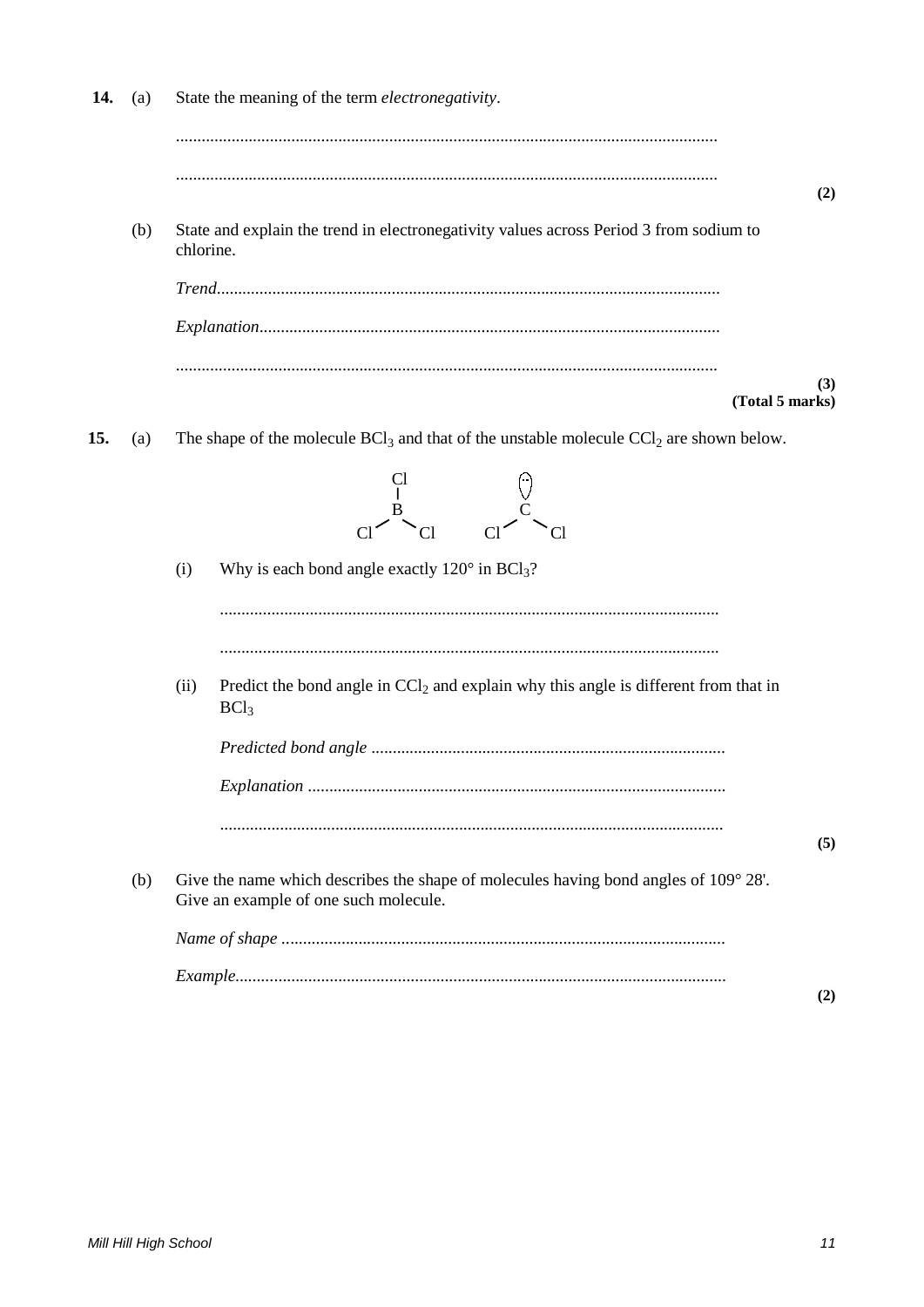| 14. | (a) | State the meaning of the term <i>electronegativity</i> .                                                                      |
|-----|-----|-------------------------------------------------------------------------------------------------------------------------------|
|     |     | (2)                                                                                                                           |
|     | (b) | State and explain the trend in electronegativity values across Period 3 from sodium to<br>chlorine.                           |
|     |     |                                                                                                                               |
|     |     |                                                                                                                               |
|     |     | (3)<br>(Total 5 marks)                                                                                                        |
| 15. | (a) | The shape of the molecule $BCl_3$ and that of the unstable molecule $CCl_2$ are shown below.                                  |
|     |     |                                                                                                                               |
|     |     | Why is each bond angle exactly $120^{\circ}$ in BCl <sub>3</sub> ?<br>(i)                                                     |
|     |     | Predict the bond angle in $CCl2$ and explain why this angle is different from that in<br>(ii)<br>BCl <sub>3</sub>             |
|     |     |                                                                                                                               |
|     |     |                                                                                                                               |
|     |     | (5)                                                                                                                           |
|     | (b) | Give the name which describes the shape of molecules having bond angles of 109° 28'.<br>Give an example of one such molecule. |
|     |     |                                                                                                                               |
|     |     | (2)                                                                                                                           |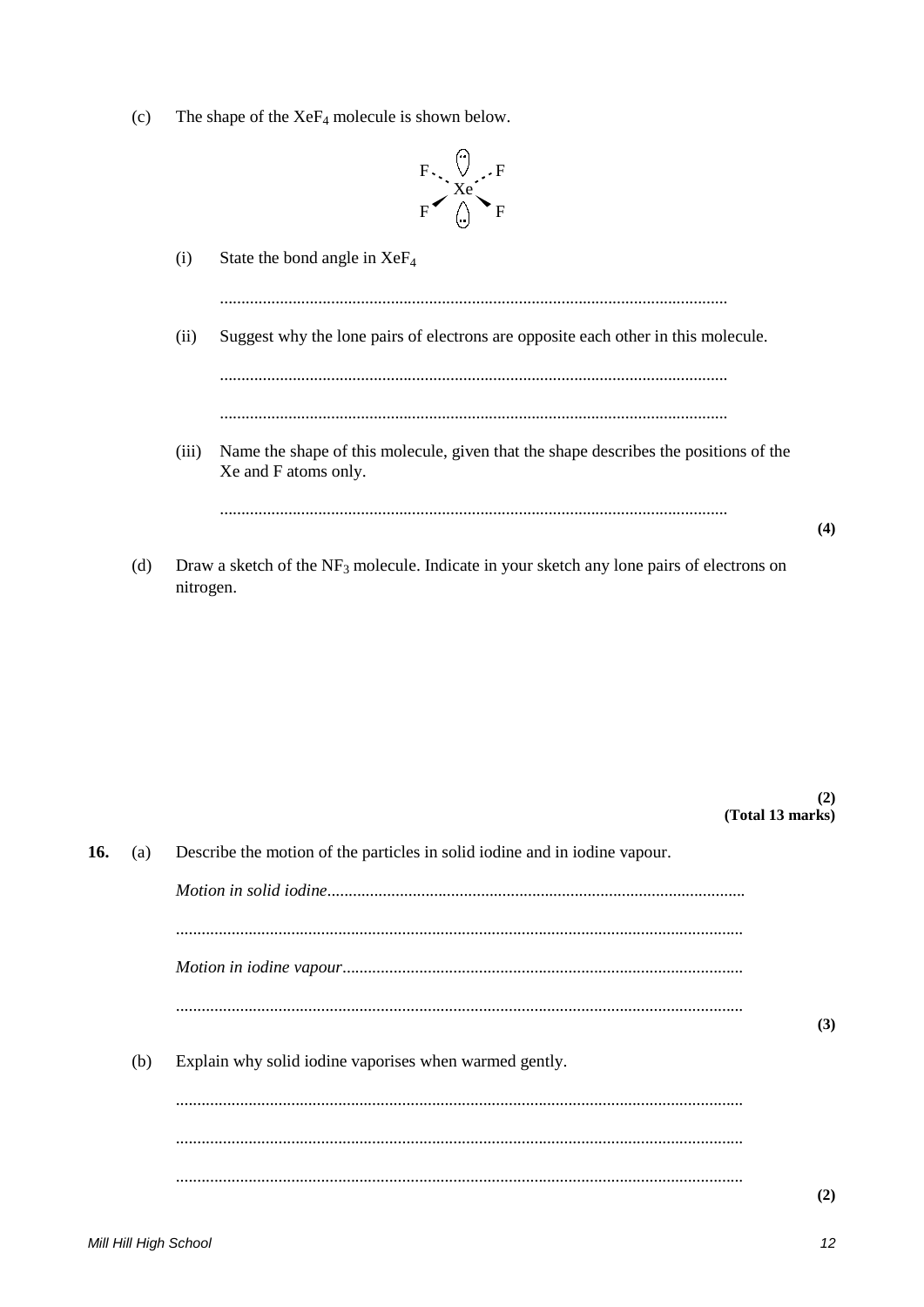$(c)$ The shape of the  $XeF_4$  molecule is shown below.



- $(i)$ State the bond angle in  $XeF_4$  $(ii)$ Suggest why the lone pairs of electrons are opposite each other in this molecule. (iii) Name the shape of this molecule, given that the shape describes the positions of the Xe and F atoms only.
- Draw a sketch of the  $NF_3$  molecule. Indicate in your sketch any lone pairs of electrons on  $(d)$ nitrogen.

 $(2)$ (Total 13 marks)

 $(4)$ 

16. Describe the motion of the particles in solid iodine and in iodine vapour.  $(a)$  $(3)$  $(b)$ Explain why solid iodine vaporises when warmed gently.  $(2)$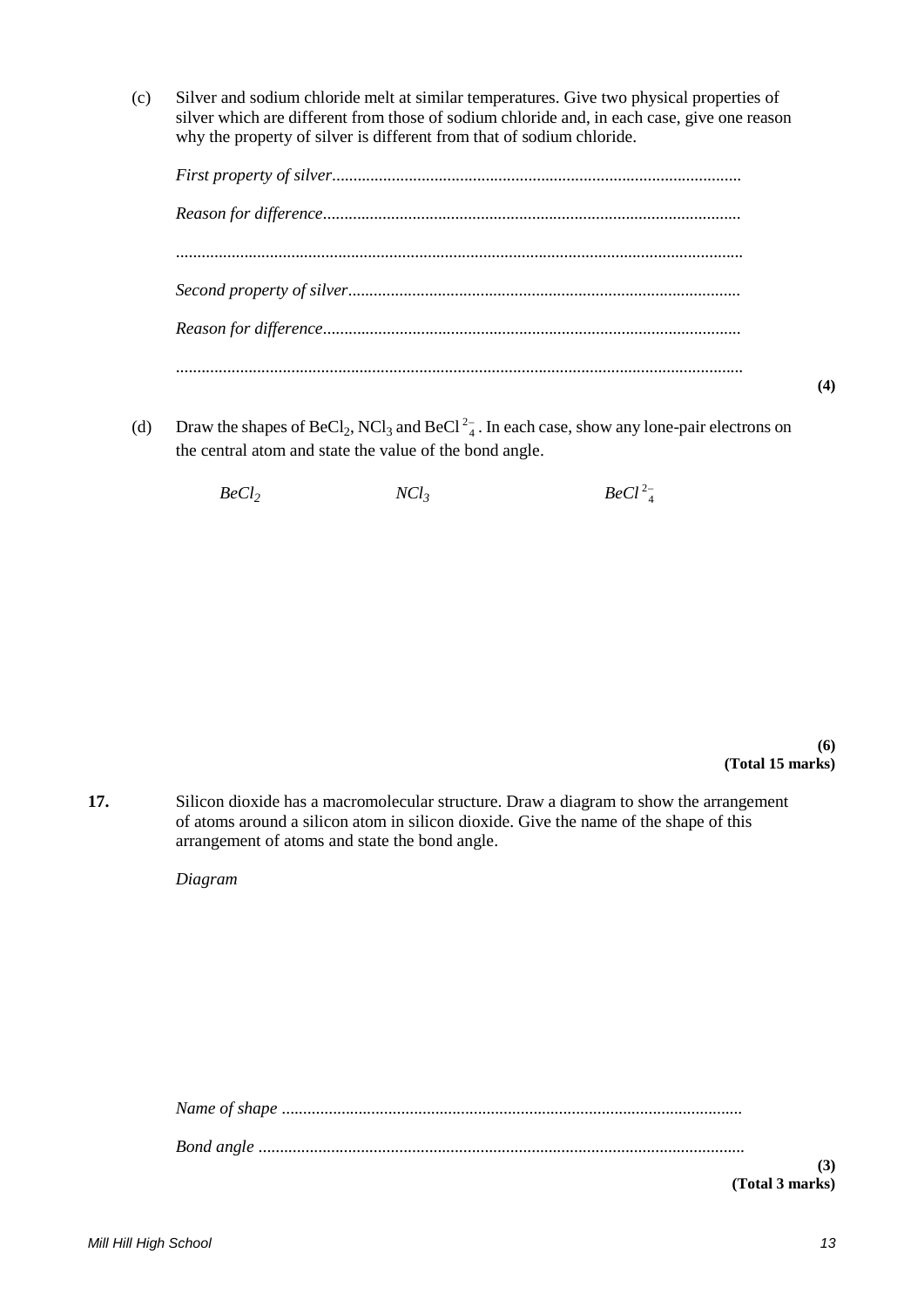(c) Silver and sodium chloride melt at similar temperatures. Give two physical properties of silver which are different from those of sodium chloride and, in each case, give one reason why the property of silver is different from that of sodium chloride.

(d) Draw the shapes of  $\text{BeCl}_2$ , NCl<sub>3</sub> and  $\text{BeCl}^2$ <sub>4</sub>. In each case, show any lone-pair electrons on the central atom and state the value of the bond angle.

 $BeCl<sub>2</sub>$  *NCl<sub>3</sub> BeCl*<sup>2</sup><sup>2</sup><sub>4</sub>

**(6) (Total 15 marks)**

**(4)**

**17.** Silicon dioxide has a macromolecular structure. Draw a diagram to show the arrangement of atoms around a silicon atom in silicon dioxide. Give the name of the shape of this arrangement of atoms and state the bond angle.

*Diagram*

| (3) |
|-----|
|     |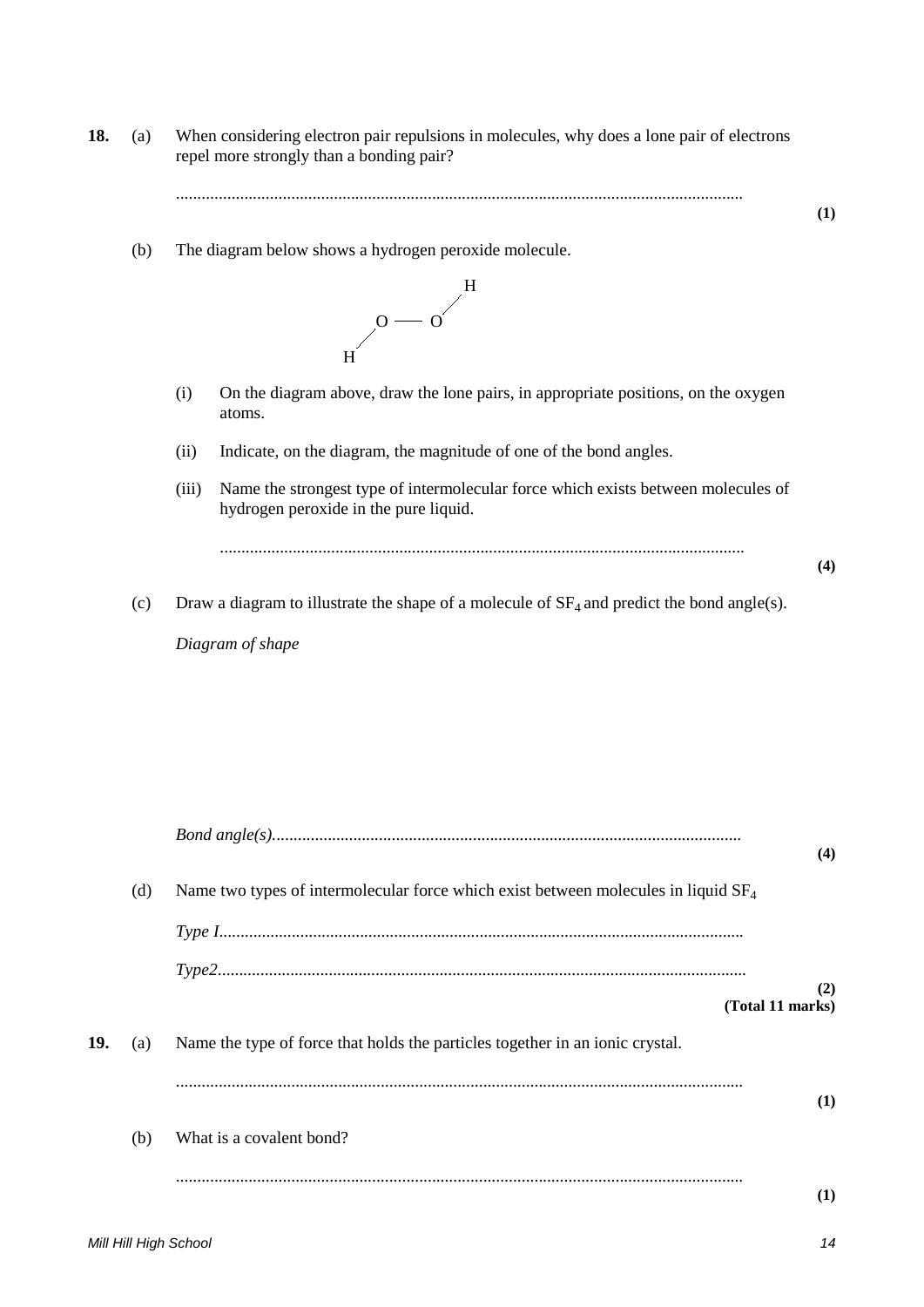**18.** (a) When considering electron pair repulsions in molecules, why does a lone pair of electrons repel more strongly than a bonding pair?

.....................................................................................................................................

(b) The diagram below shows a hydrogen peroxide molecule.



- (i) On the diagram above, draw the lone pairs, in appropriate positions, on the oxygen atoms.
- (ii) Indicate, on the diagram, the magnitude of one of the bond angles.
- (iii) Name the strongest type of intermolecular force which exists between molecules of hydrogen peroxide in the pure liquid.

...........................................................................................................................

**(4)**

**(1)** 

(c) Draw a diagram to illustrate the shape of a molecule of  $SF_4$  and predict the bond angle(s).

*Diagram of shape*

|     |     |                                                                                      | (4)      |
|-----|-----|--------------------------------------------------------------------------------------|----------|
|     | (d) | Name two types of intermolecular force which exist between molecules in liquid $SF4$ |          |
|     |     |                                                                                      |          |
|     |     |                                                                                      |          |
|     |     | (Total 11 marks)                                                                     | (2)      |
| 19. | (a) | Name the type of force that holds the particles together in an ionic crystal.        |          |
|     |     |                                                                                      | (1)      |
|     | (b) | What is a covalent bond?                                                             |          |
|     |     |                                                                                      | $\bf(1)$ |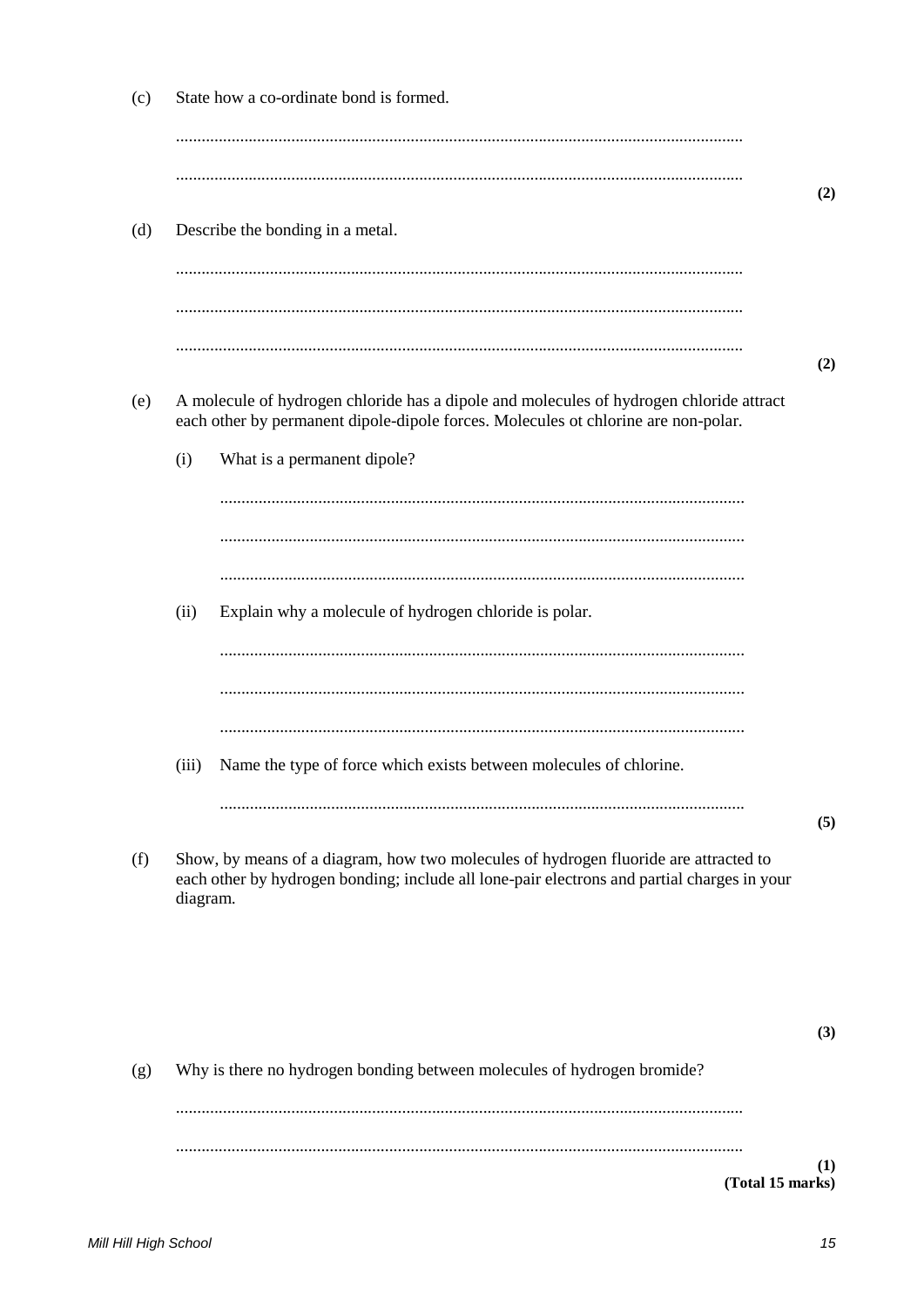|          | Describe the bonding in a metal.                                                                                                                                                    |
|----------|-------------------------------------------------------------------------------------------------------------------------------------------------------------------------------------|
|          |                                                                                                                                                                                     |
|          |                                                                                                                                                                                     |
|          | A molecule of hydrogen chloride has a dipole and molecules of hydrogen chloride attract<br>each other by permanent dipole-dipole forces. Molecules ot chlorine are non-polar.       |
| (i)      | What is a permanent dipole?                                                                                                                                                         |
|          |                                                                                                                                                                                     |
|          |                                                                                                                                                                                     |
|          |                                                                                                                                                                                     |
| (ii)     | Explain why a molecule of hydrogen chloride is polar.                                                                                                                               |
|          |                                                                                                                                                                                     |
|          |                                                                                                                                                                                     |
| (iii)    | Name the type of force which exists between molecules of chlorine.                                                                                                                  |
|          |                                                                                                                                                                                     |
| diagram. | Show, by means of a diagram, how two molecules of hydrogen fluoride are attracted to<br>each other by hydrogen bonding; include all lone-pair electrons and partial charges in your |
|          |                                                                                                                                                                                     |
|          | Why is there no hydrogen bonding between molecules of hydrogen bromide?                                                                                                             |

 $(c)$ 

State how a co-ordinate bond is formed.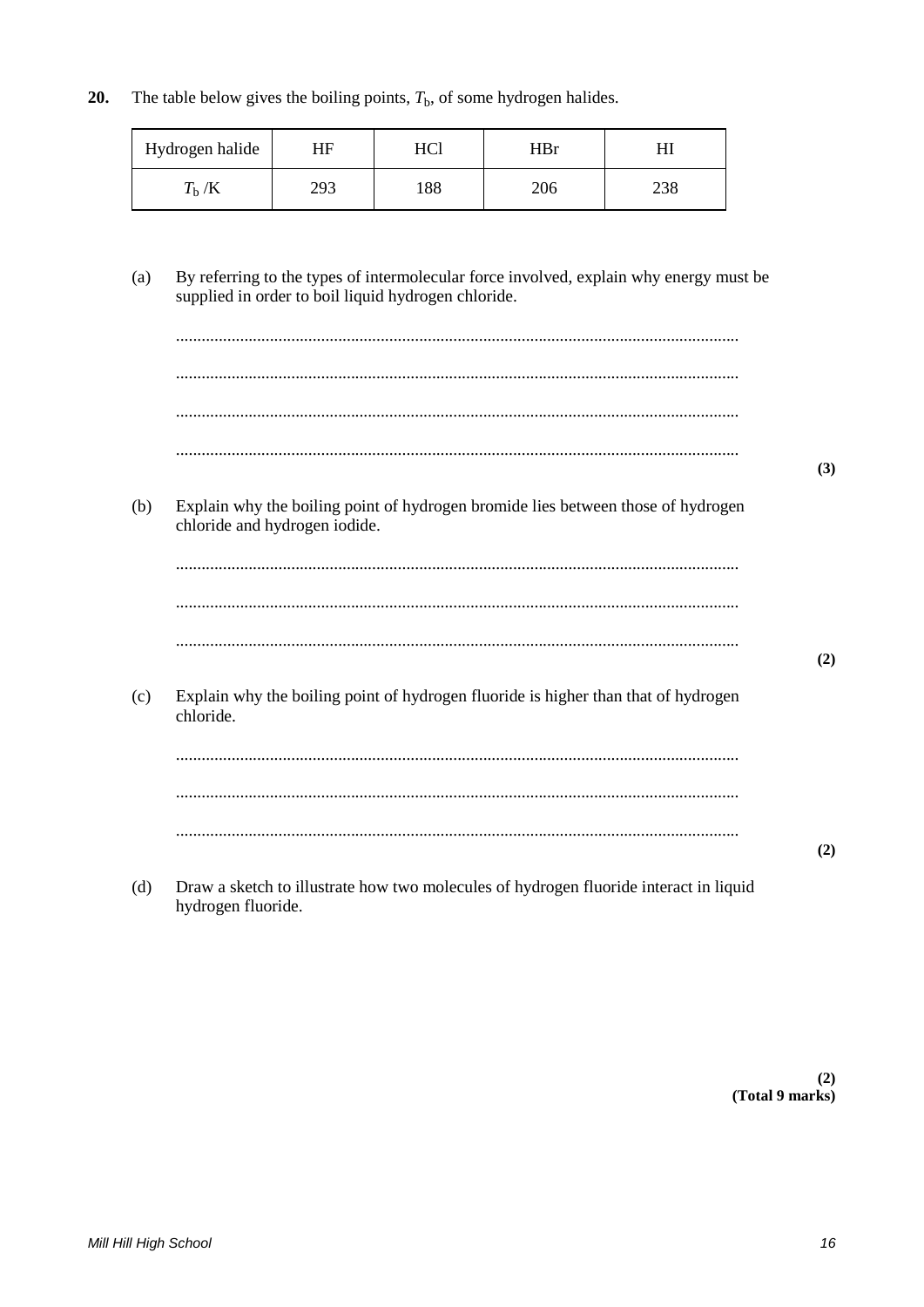The table below gives the boiling points,  $T<sub>b</sub>$ , of some hydrogen halides. 20.

| Hydrogen halide       | ΗF  | T T / 11 | HBr |      |
|-----------------------|-----|----------|-----|------|
| $\mathbf{L}$<br>1 h/R | 293 | 188      | 206 | 49 C |

By referring to the types of intermolecular force involved, explain why energy must be  $(a)$ supplied in order to boil liquid hydrogen chloride.

|     |                                                                                                                   | (3) |
|-----|-------------------------------------------------------------------------------------------------------------------|-----|
| (b) | Explain why the boiling point of hydrogen bromide lies between those of hydrogen<br>chloride and hydrogen iodide. |     |
|     |                                                                                                                   |     |
|     |                                                                                                                   |     |
|     |                                                                                                                   | (2) |
| (c) | Explain why the boiling point of hydrogen fluoride is higher than that of hydrogen<br>chloride.                   |     |
|     |                                                                                                                   |     |
|     |                                                                                                                   |     |
|     |                                                                                                                   | (2) |
| (d) | Draw a sketch to illustrate how two molecules of hydrogen fluoride interact in liquid<br>hydrogen fluoride.       |     |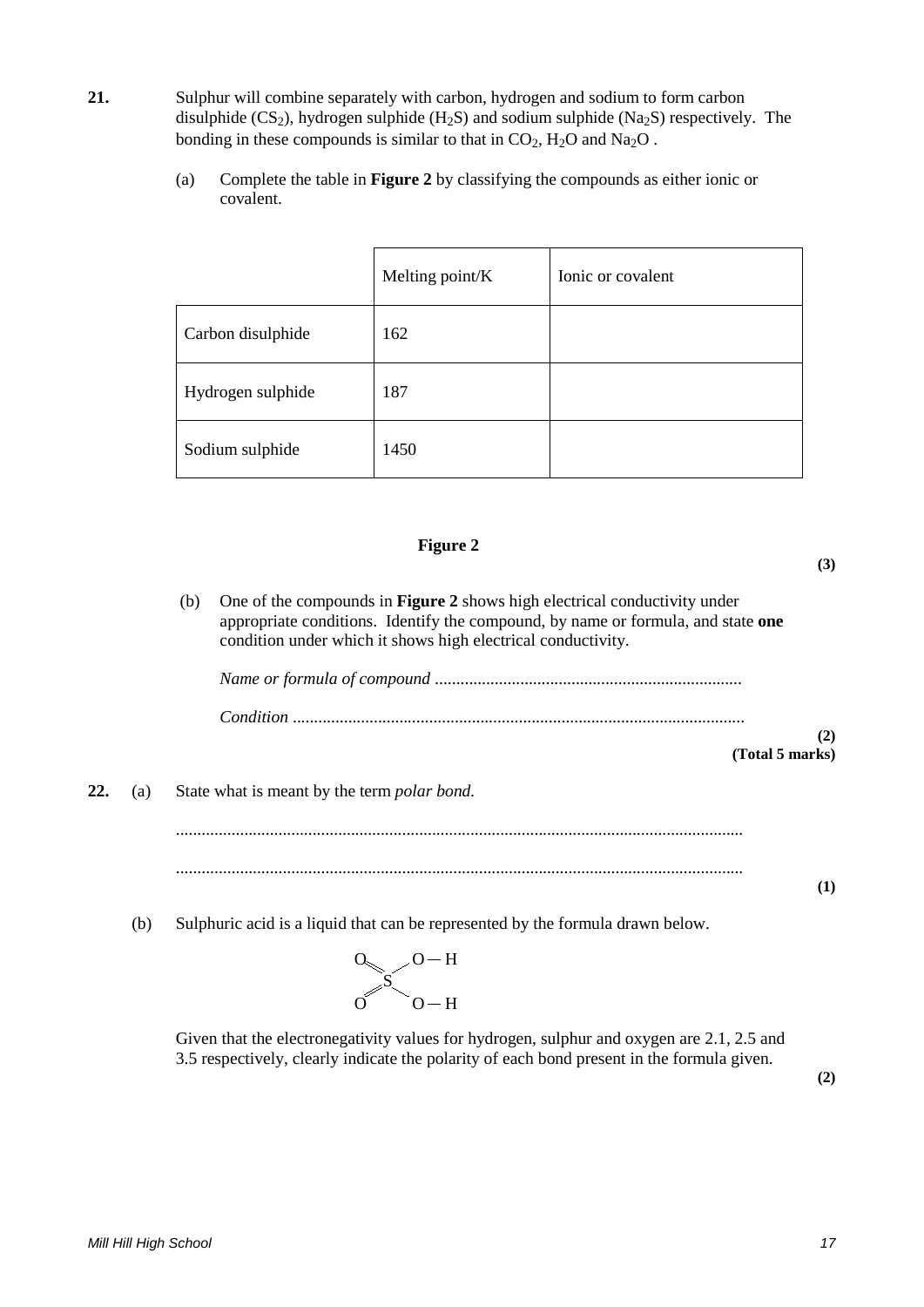- **21.** Sulphur will combine separately with carbon, hydrogen and sodium to form carbon disulphide  $(CS_2)$ , hydrogen sulphide  $(H_2S)$  and sodium sulphide  $(Na_2S)$  respectively. The bonding in these compounds is similar to that in  $CO<sub>2</sub>$ , H<sub>2</sub>O and Na<sub>2</sub>O.
	- (a) Complete the table in **Figure 2** by classifying the compounds as either ionic or covalent.

|                   | Melting point/K | Ionic or covalent |
|-------------------|-----------------|-------------------|
| Carbon disulphide | 162             |                   |
| Hydrogen sulphide | 187             |                   |
| Sodium sulphide   | 1450            |                   |

### **Figure 2**

**(3)**

(b) One of the compounds in **Figure 2** shows high electrical conductivity under appropriate conditions. Identify the compound, by name or formula, and state **one**  condition under which it shows high electrical conductivity.

**(2) (Total 5 marks)**

**22.** (a) State what is meant by the term *polar bond.*

..................................................................................................................................... .....................................................................................................................................

(b) Sulphuric acid is a liquid that can be represented by the formula drawn below.

$$
\begin{matrix}0&0-H\\0&0-H\end{matrix}
$$

Given that the electronegativity values for hydrogen, sulphur and oxygen are 2.1, 2.5 and 3.5 respectively, clearly indicate the polarity of each bond present in the formula given.

**(2)**

**(1)**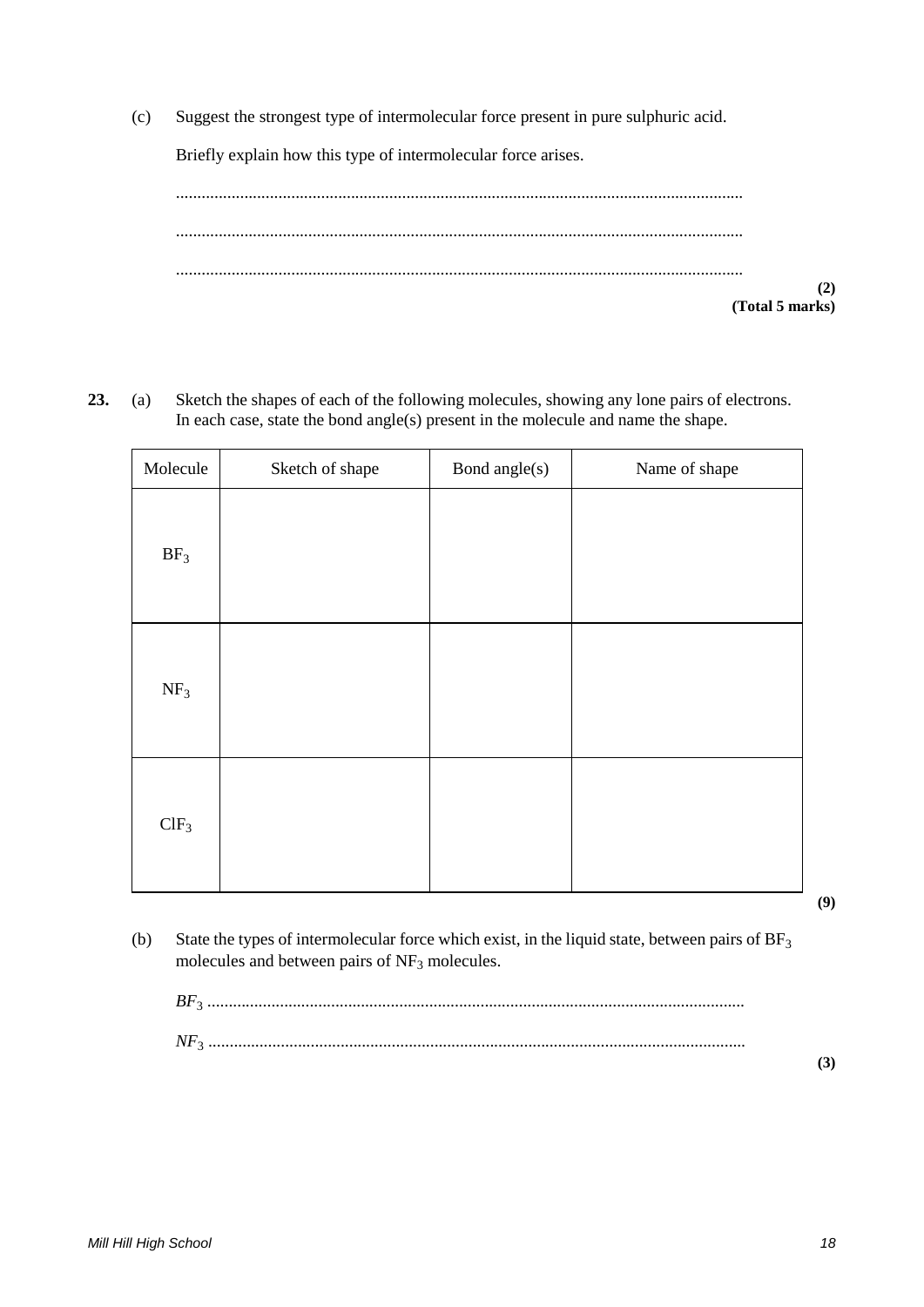(c) Suggest the strongest type of intermolecular force present in pure sulphuric acid.

Briefly explain how this type of intermolecular force arises.

..................................................................................................................................... ..................................................................................................................................... ..................................................................................................................................... **(2) (Total 5 marks)**

**23.** (a) Sketch the shapes of each of the following molecules, showing any lone pairs of electrons. In each case, state the bond angle(s) present in the molecule and name the shape.

| Molecule        | Sketch of shape | Bond angle(s) | Name of shape |
|-----------------|-----------------|---------------|---------------|
| BF <sub>3</sub> |                 |               |               |
| NF <sub>3</sub> |                 |               |               |
| $ClF_3$         |                 |               |               |

**(9)**

(b) State the types of intermolecular force which exist, in the liquid state, between pairs of  $BF<sub>3</sub>$ molecules and between pairs of  $NF<sub>3</sub>$  molecules.

| BF <sub>2</sub> |  |
|-----------------|--|
|                 |  |
|                 |  |
|                 |  |

**(3)**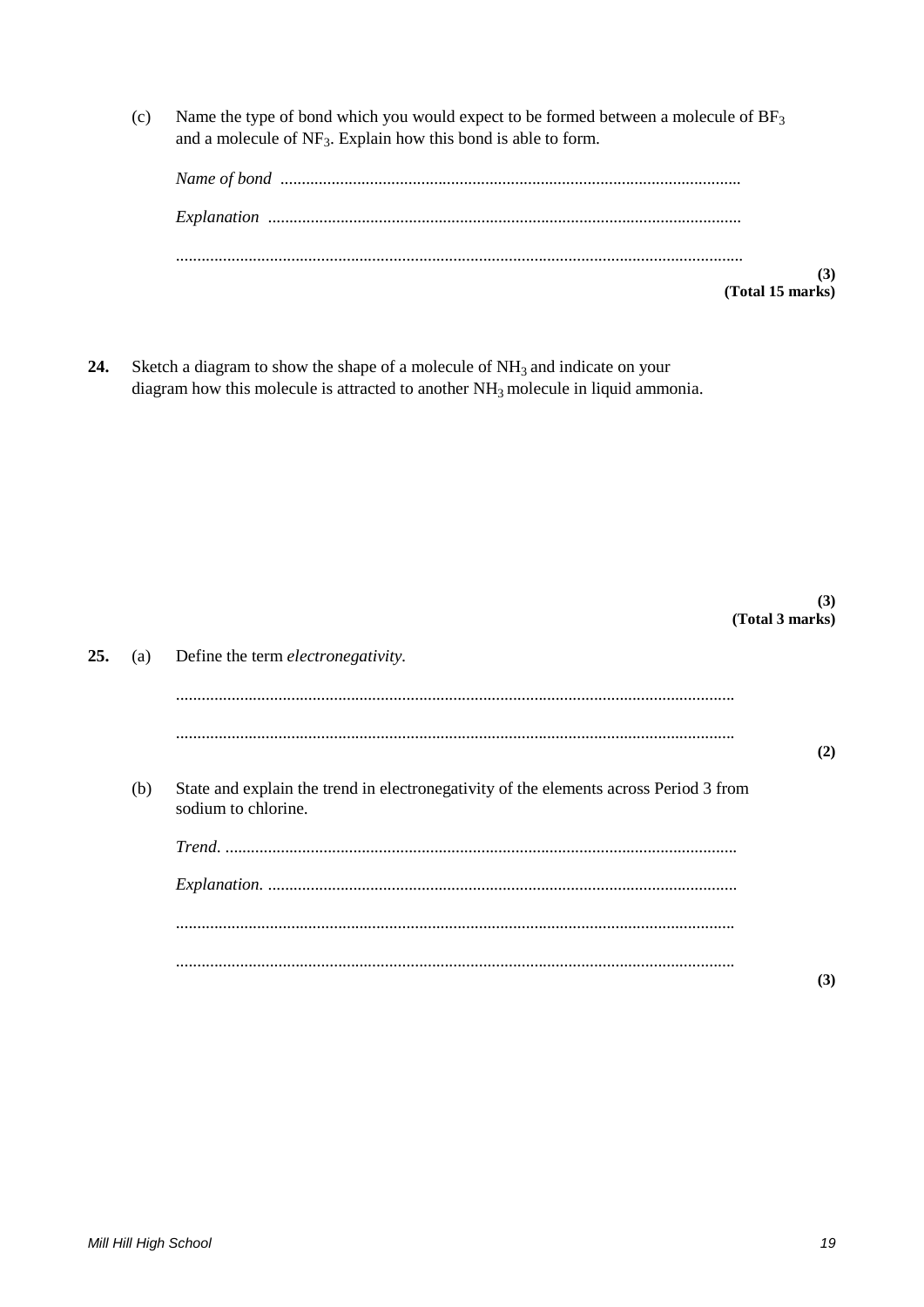Name the type of bond which you would expect to be formed between a molecule of BF<sub>3</sub>  $(c)$ and a molecule of  $NF_3$ . Explain how this bond is able to form.

| (Total 15 marks) |
|------------------|

24. Sketch a diagram to show the shape of a molecule of  $NH<sub>3</sub>$  and indicate on your diagram how this molecule is attracted to another NH<sub>3</sub> molecule in liquid ammonia.

|     |     | (Total 3 marks)                                                                                              | (3) |
|-----|-----|--------------------------------------------------------------------------------------------------------------|-----|
| 25. | (a) | Define the term <i>electronegativity</i> .                                                                   |     |
|     |     |                                                                                                              | (2) |
|     | (b) | State and explain the trend in electronegativity of the elements across Period 3 from<br>sodium to chlorine. |     |
|     |     |                                                                                                              |     |
|     |     |                                                                                                              |     |
|     |     |                                                                                                              |     |
|     |     |                                                                                                              | (3) |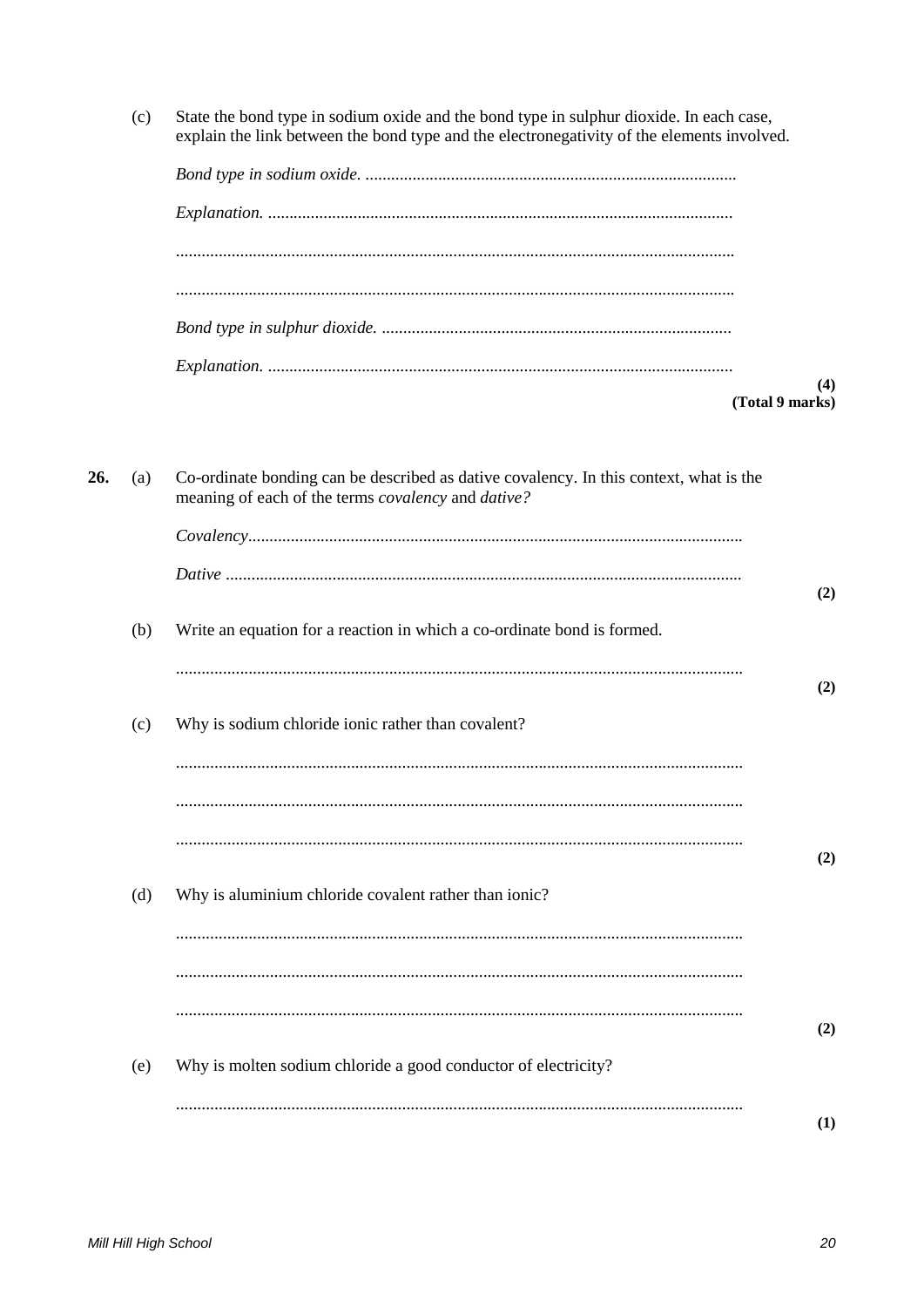State the bond type in sodium oxide and the bond type in sulphur dioxide. In each case,  $(c)$ explain the link between the bond type and the electronegativity of the elements involved.  $(4)$ (Total 9 marks) 26. Co-ordinate bonding can be described as dative covalency. In this context, what is the  $(a)$ meaning of each of the terms *covalency* and *dative*?  $(2)$  $(b)$ Write an equation for a reaction in which a co-ordinate bond is formed.  $(2)$  $(c)$ Why is sodium chloride ionic rather than covalent?  $(2)$  $(d)$ Why is aluminium chloride covalent rather than ionic?  $(2)$ Why is molten sodium chloride a good conductor of electricity?  $(e)$  $(1)$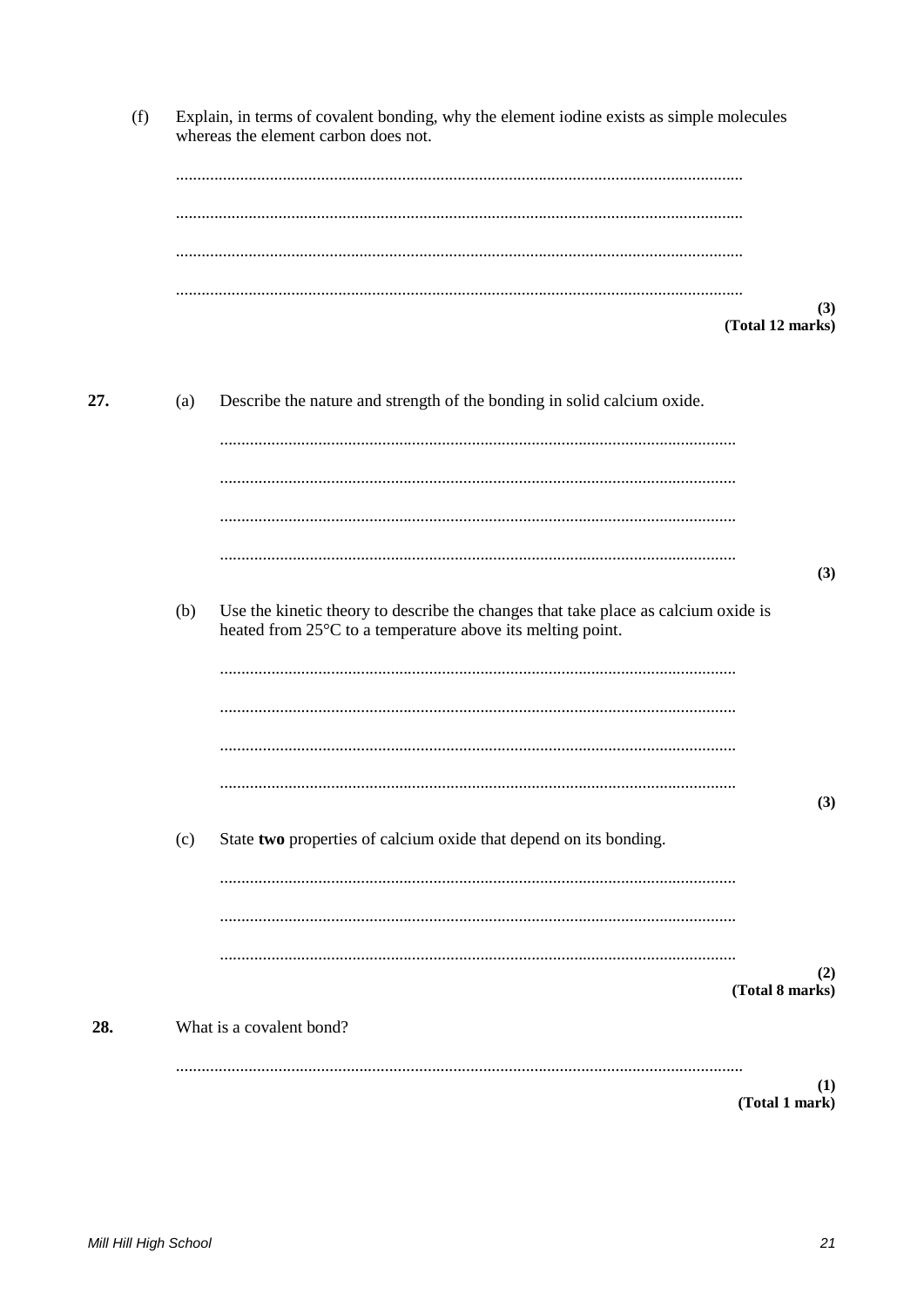|     | (f) |     | Explain, in terms of covalent bonding, why the element iodine exists as simple molecules<br>whereas the element carbon does not.                 |                         |
|-----|-----|-----|--------------------------------------------------------------------------------------------------------------------------------------------------|-------------------------|
|     |     |     |                                                                                                                                                  |                         |
|     |     |     |                                                                                                                                                  |                         |
|     |     |     |                                                                                                                                                  | (3)<br>(Total 12 marks) |
| 27. |     | (a) | Describe the nature and strength of the bonding in solid calcium oxide.                                                                          |                         |
|     |     |     |                                                                                                                                                  |                         |
|     |     |     |                                                                                                                                                  |                         |
|     |     |     |                                                                                                                                                  | (3)                     |
|     |     | (b) | Use the kinetic theory to describe the changes that take place as calcium oxide is<br>heated from 25°C to a temperature above its melting point. |                         |
|     |     |     |                                                                                                                                                  |                         |
|     |     |     |                                                                                                                                                  |                         |
|     |     | (c) | State two properties of calcium oxide that depend on its bonding.                                                                                | (3)                     |
|     |     |     |                                                                                                                                                  |                         |
|     |     |     |                                                                                                                                                  | (2)                     |
| 28. |     |     | What is a covalent bond?                                                                                                                         | (Total 8 marks)         |
|     |     |     |                                                                                                                                                  | (1)                     |

 $(Total 1 mark)$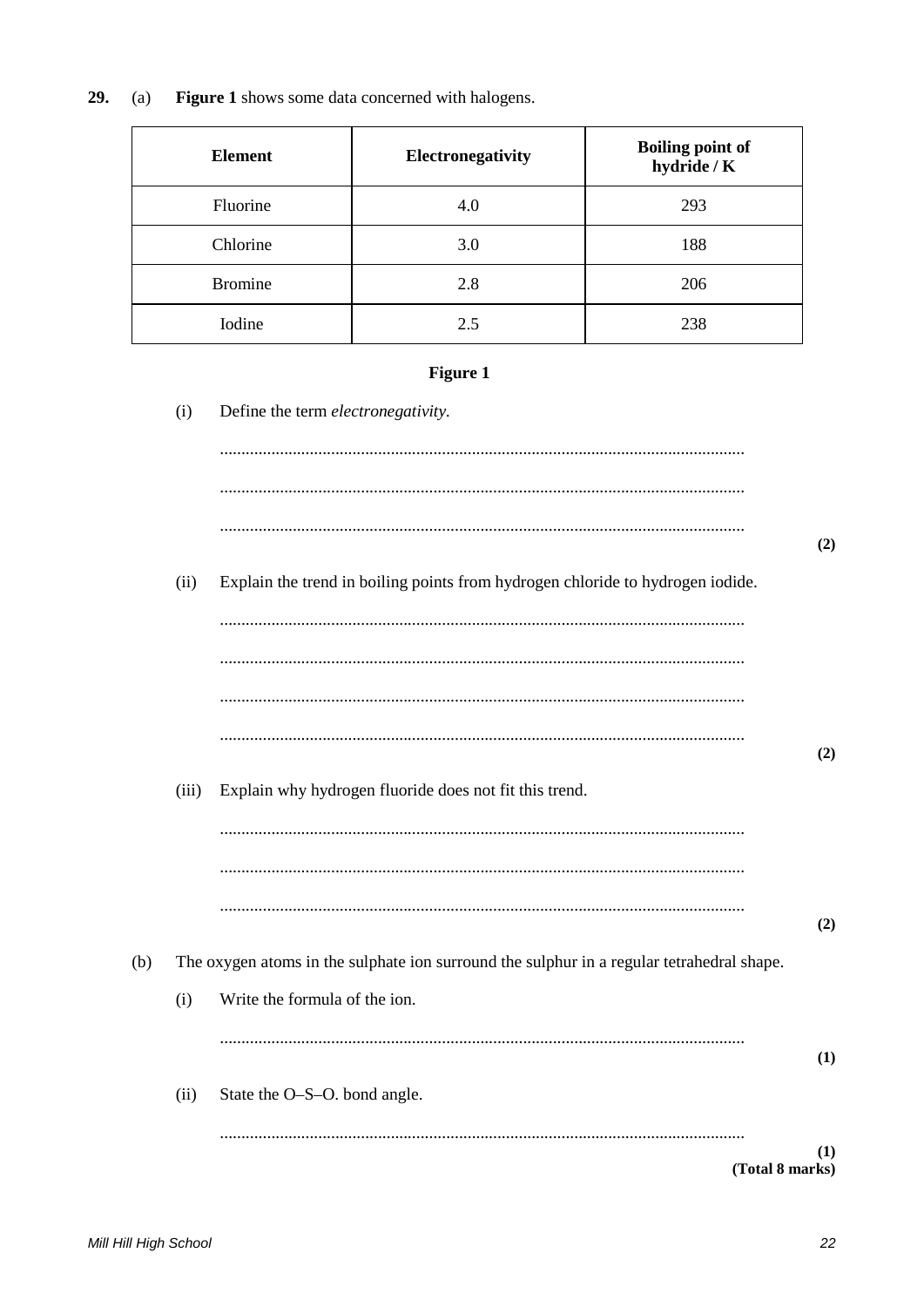Figure 1 shows some data concerned with halogens. 29.  $(a)$ 

| <b>Element</b> | Electronegativity | <b>Boiling point of</b><br>hydride / K |
|----------------|-------------------|----------------------------------------|
| Fluorine       | 4.0               | 293                                    |
| Chlorine       | 3.0               | 188                                    |
| <b>Bromine</b> | 2.8               | 206                                    |
| Iodine         | 2.5               | 238                                    |

# Figure 1

|     | (i)   | Define the term electronegativity.                                                        |     |
|-----|-------|-------------------------------------------------------------------------------------------|-----|
|     |       |                                                                                           |     |
|     |       |                                                                                           |     |
|     |       |                                                                                           | (2) |
|     | (ii)  | Explain the trend in boiling points from hydrogen chloride to hydrogen iodide.            |     |
|     |       |                                                                                           |     |
|     |       |                                                                                           |     |
|     |       |                                                                                           |     |
|     |       |                                                                                           | (2) |
|     | (iii) | Explain why hydrogen fluoride does not fit this trend.                                    |     |
|     |       |                                                                                           |     |
|     |       |                                                                                           |     |
|     |       |                                                                                           | (2) |
| (b) |       | The oxygen atoms in the sulphate ion surround the sulphur in a regular tetrahedral shape. |     |
|     | (i)   | Write the formula of the ion.                                                             |     |
|     |       |                                                                                           | (1) |
|     | (ii)  | State the O-S-O. bond angle.                                                              |     |
|     |       |                                                                                           | (1) |
|     |       | (Total 8 marks)                                                                           |     |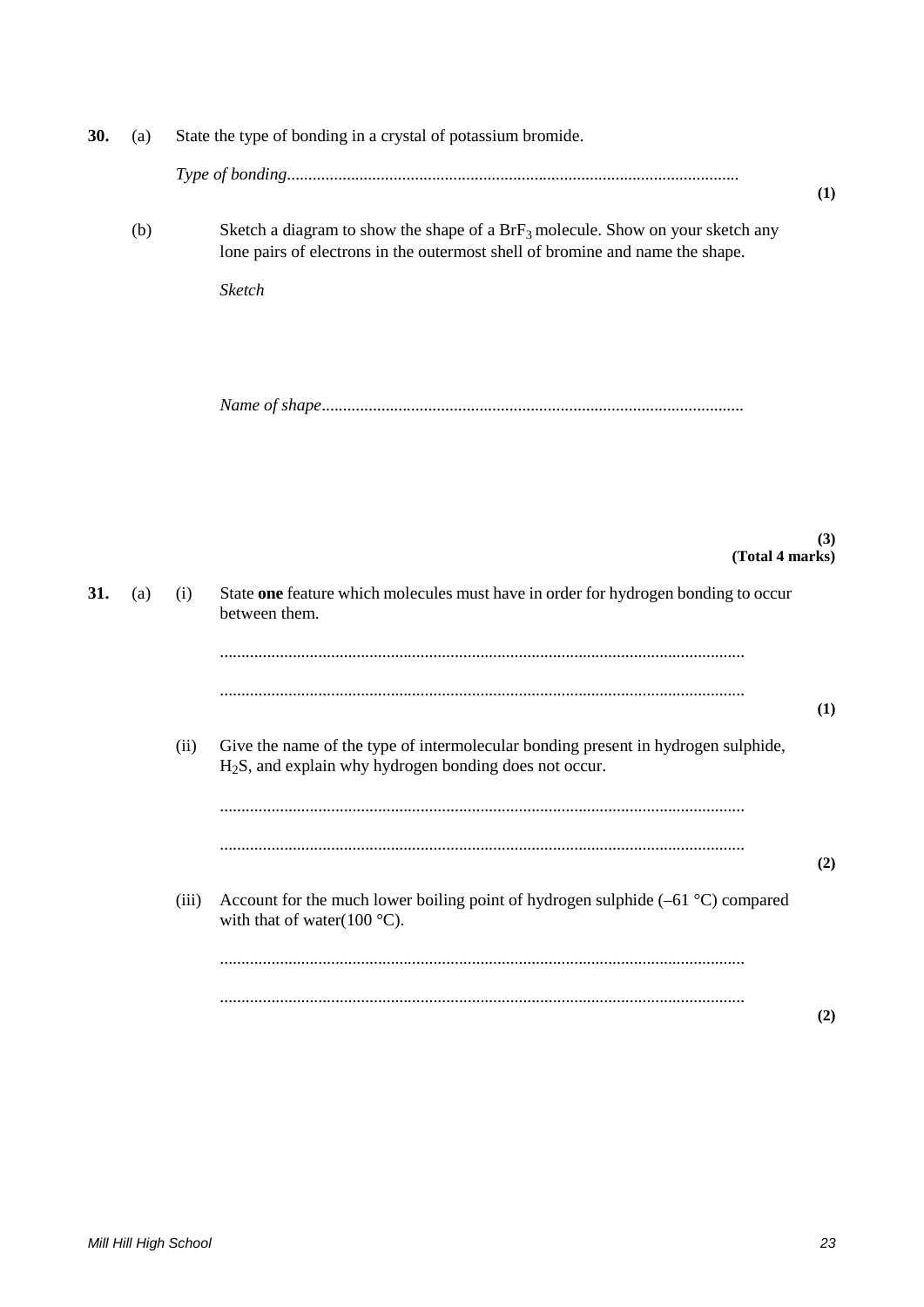| 30. | (a) |       | State the type of bonding in a crystal of potassium bromide.                                                                                                                 |     |
|-----|-----|-------|------------------------------------------------------------------------------------------------------------------------------------------------------------------------------|-----|
|     |     |       |                                                                                                                                                                              | (1) |
|     | (b) |       | Sketch a diagram to show the shape of a $Brf_3$ molecule. Show on your sketch any<br>lone pairs of electrons in the outermost shell of bromine and name the shape.<br>Sketch |     |
|     |     |       |                                                                                                                                                                              |     |
| 31. | (a) | (i)   | (Total 4 marks)<br>State one feature which molecules must have in order for hydrogen bonding to occur                                                                        | (3) |
|     |     |       | between them.                                                                                                                                                                |     |
|     |     |       |                                                                                                                                                                              | (1) |
|     |     | (ii)  | Give the name of the type of intermolecular bonding present in hydrogen sulphide,<br>$H2S$ , and explain why hydrogen bonding does not occur.                                |     |
|     |     |       |                                                                                                                                                                              | (2) |
|     |     | (iii) | Account for the much lower boiling point of hydrogen sulphide $(-61 \degree C)$ compared<br>with that of water( $100^{\circ}$ C).                                            |     |
|     |     |       |                                                                                                                                                                              |     |
|     |     |       |                                                                                                                                                                              | (2) |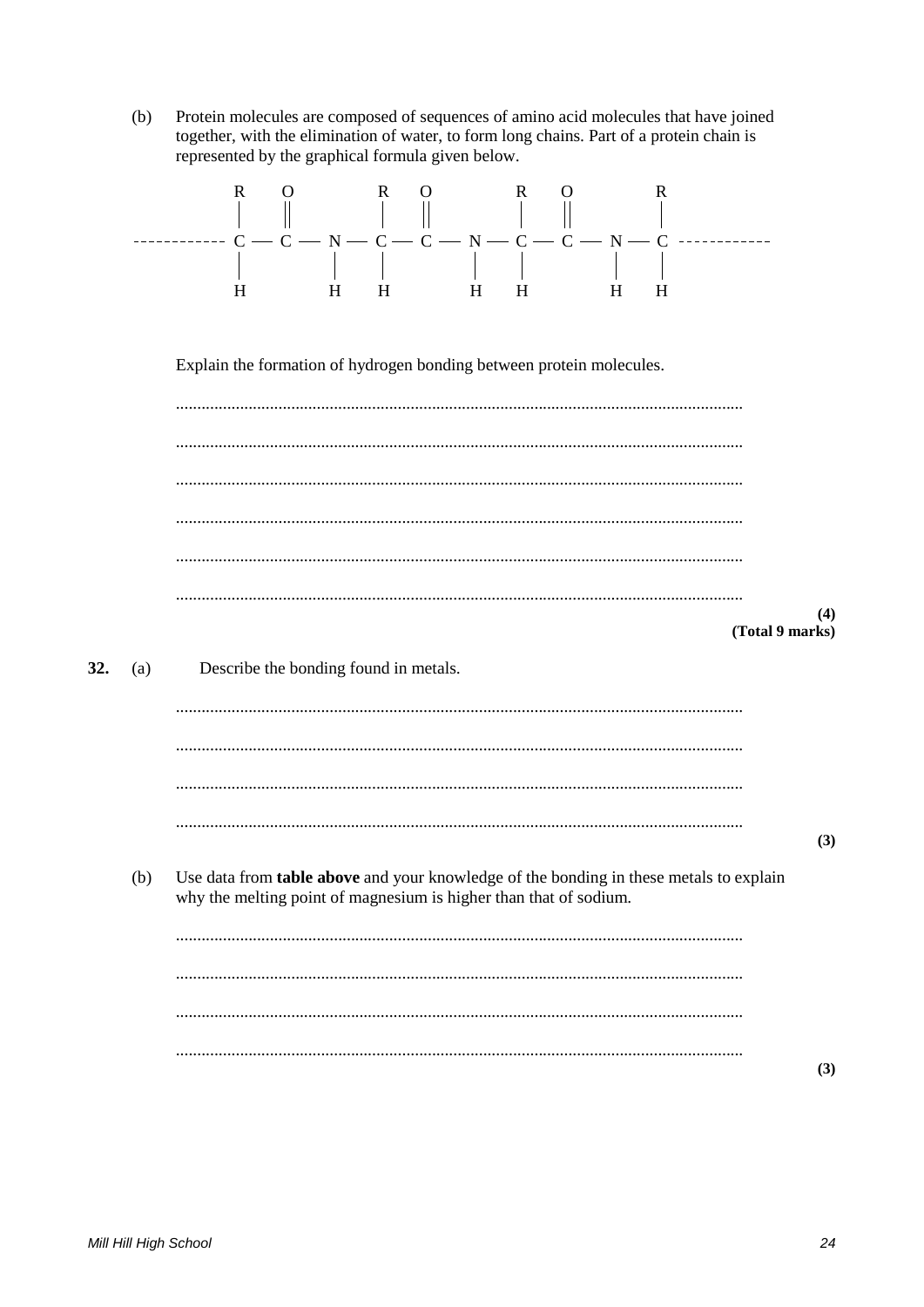$(b)$ Protein molecules are composed of sequences of amino acid molecules that have joined together, with the elimination of water, to form long chains. Part of a protein chain is represented by the graphical formula given below.

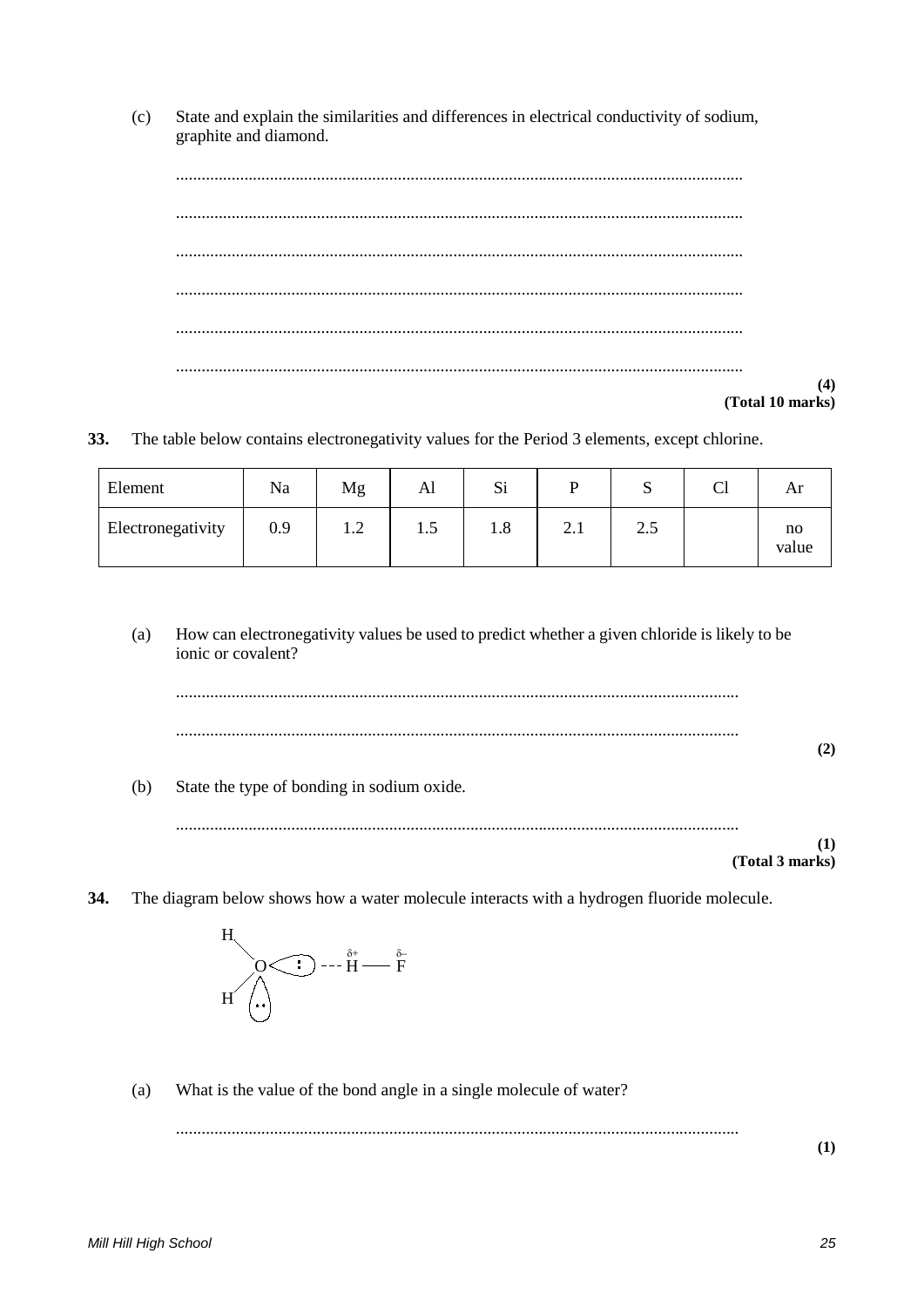State and explain the similarities and differences in electrical conductivity of sodium,  $(c)$ graphite and diamond.

 $(4)$ (Total 10 marks)

33. The table below contains electronegativity values for the Period 3 elements, except chlorine.

| Element           | Na  | Mg                                           | Al            | Si      |                       | ື                       | ◡ェ | Ar          |
|-------------------|-----|----------------------------------------------|---------------|---------|-----------------------|-------------------------|----|-------------|
| Electronegativity | 0.9 | $\bigcap$<br>$\overline{1}$ . $\overline{2}$ | $\cdot \cdot$ | $1.8\,$ | $\sim$<br>$\angle$ .1 | $\gamma$ $\zeta$<br>ن.ء |    | no<br>value |

 $(a)$ How can electronegativity values be used to predict whether a given chloride is likely to be ionic or covalent?



 $(b)$ State the type of bonding in sodium oxide.

 $(1)$ (Total 3 marks)

34. The diagram below shows how a water molecule interacts with a hydrogen fluoride molecule.



What is the value of the bond angle in a single molecule of water?  $(a)$ 

 $(1)$ 

Mill Hill High School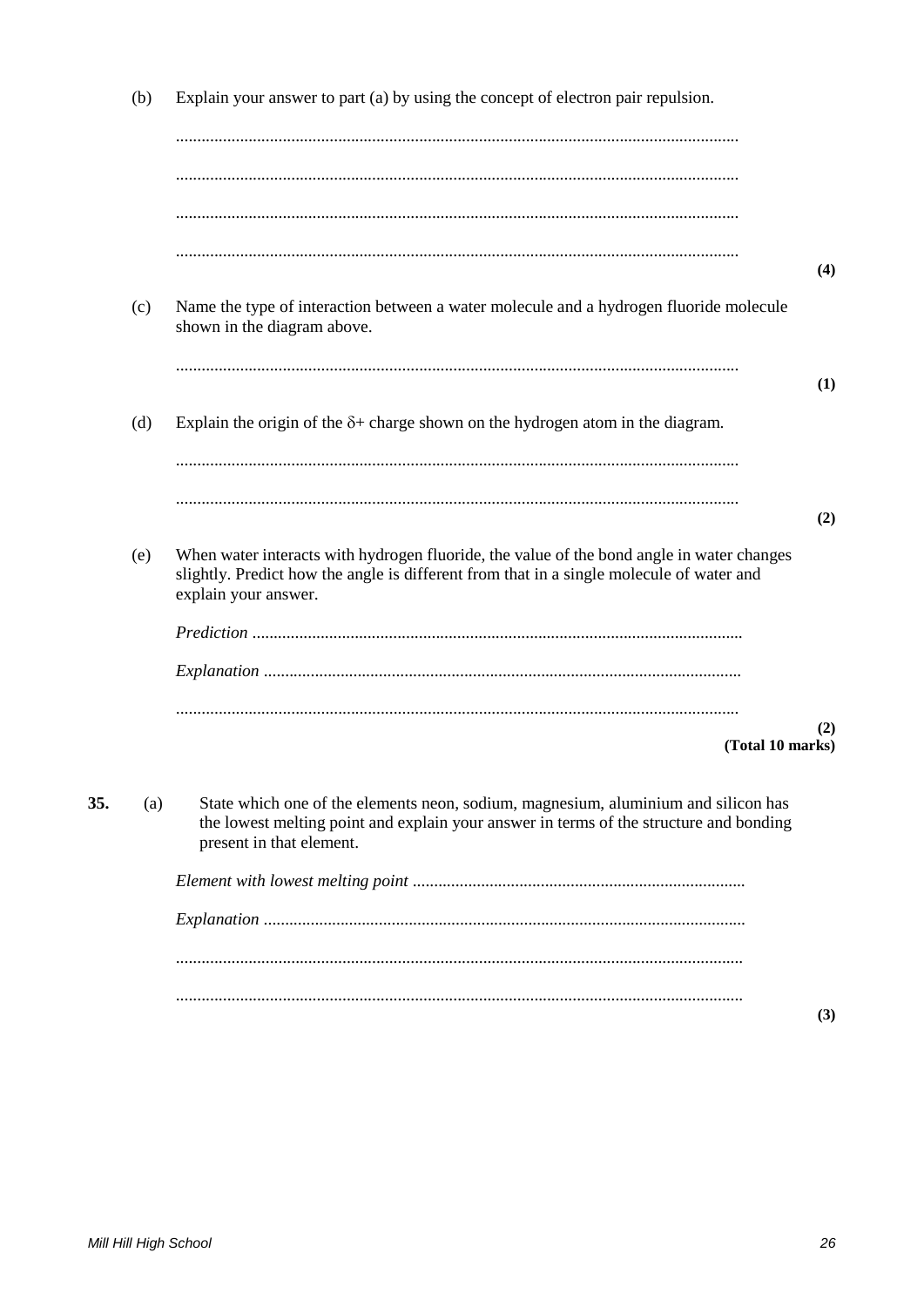Explain your answer to part (a) by using the concept of electron pair repulsion.  $(b)$  $(4)$  $(c)$ Name the type of interaction between a water molecule and a hydrogen fluoride molecule shown in the diagram above.  $(1)$  $(d)$ Explain the origin of the  $\delta$ + charge shown on the hydrogen atom in the diagram.  $(2)$ When water interacts with hydrogen fluoride, the value of the bond angle in water changes  $(e)$ slightly. Predict how the angle is different from that in a single molecule of water and explain your answer.  $(2)$ (Total 10 marks) 35. State which one of the elements neon, sodium, magnesium, aluminium and silicon has  $(a)$ the lowest melting point and explain your answer in terms of the structure and bonding present in that element.  $(3)$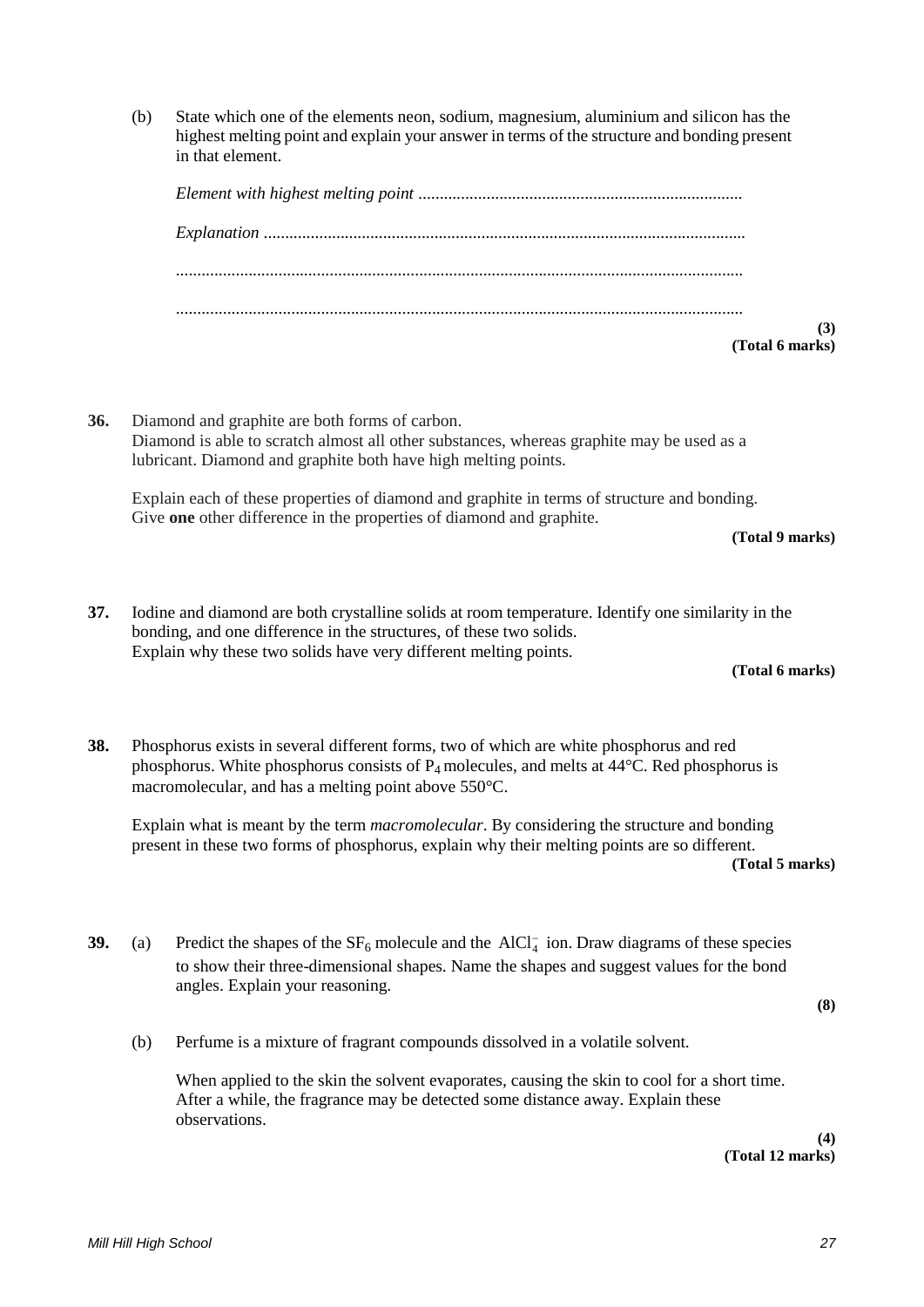(b) State which one of the elements neon, sodium, magnesium, aluminium and silicon has the highest melting point and explain your answer in terms of the structure and bonding present in that element.

| (Total 6 marks) |
|-----------------|
| (3)             |
|                 |
|                 |
|                 |
|                 |
|                 |
|                 |
|                 |
|                 |
|                 |

**36.** Diamond and graphite are both forms of carbon. Diamond is able to scratch almost all other substances, whereas graphite may be used as a lubricant. Diamond and graphite both have high melting points.

Explain each of these properties of diamond and graphite in terms of structure and bonding. Give **one** other difference in the properties of diamond and graphite.

**(Total 9 marks)**

**37.** Iodine and diamond are both crystalline solids at room temperature. Identify one similarity in the bonding, and one difference in the structures, of these two solids. Explain why these two solids have very different melting points.

**(Total 6 marks)**

**38.** Phosphorus exists in several different forms, two of which are white phosphorus and red phosphorus. White phosphorus consists of  $P_4$  molecules, and melts at 44 $\degree$ C. Red phosphorus is macromolecular, and has a melting point above 550°C.

Explain what is meant by the term *macromolecular*. By considering the structure and bonding present in these two forms of phosphorus, explain why their melting points are so different.

**(Total 5 marks)**

**39.** (a) Predict the shapes of the  $SF_6$  molecule and the AlCl<sub>4</sub> ion. Draw diagrams of these species to show their three-dimensional shapes. Name the shapes and suggest values for the bond angles. Explain your reasoning.

**(8)** 

(b) Perfume is a mixture of fragrant compounds dissolved in a volatile solvent.

When applied to the skin the solvent evaporates, causing the skin to cool for a short time. After a while, the fragrance may be detected some distance away. Explain these observations.

**(4) (Total 12 marks)**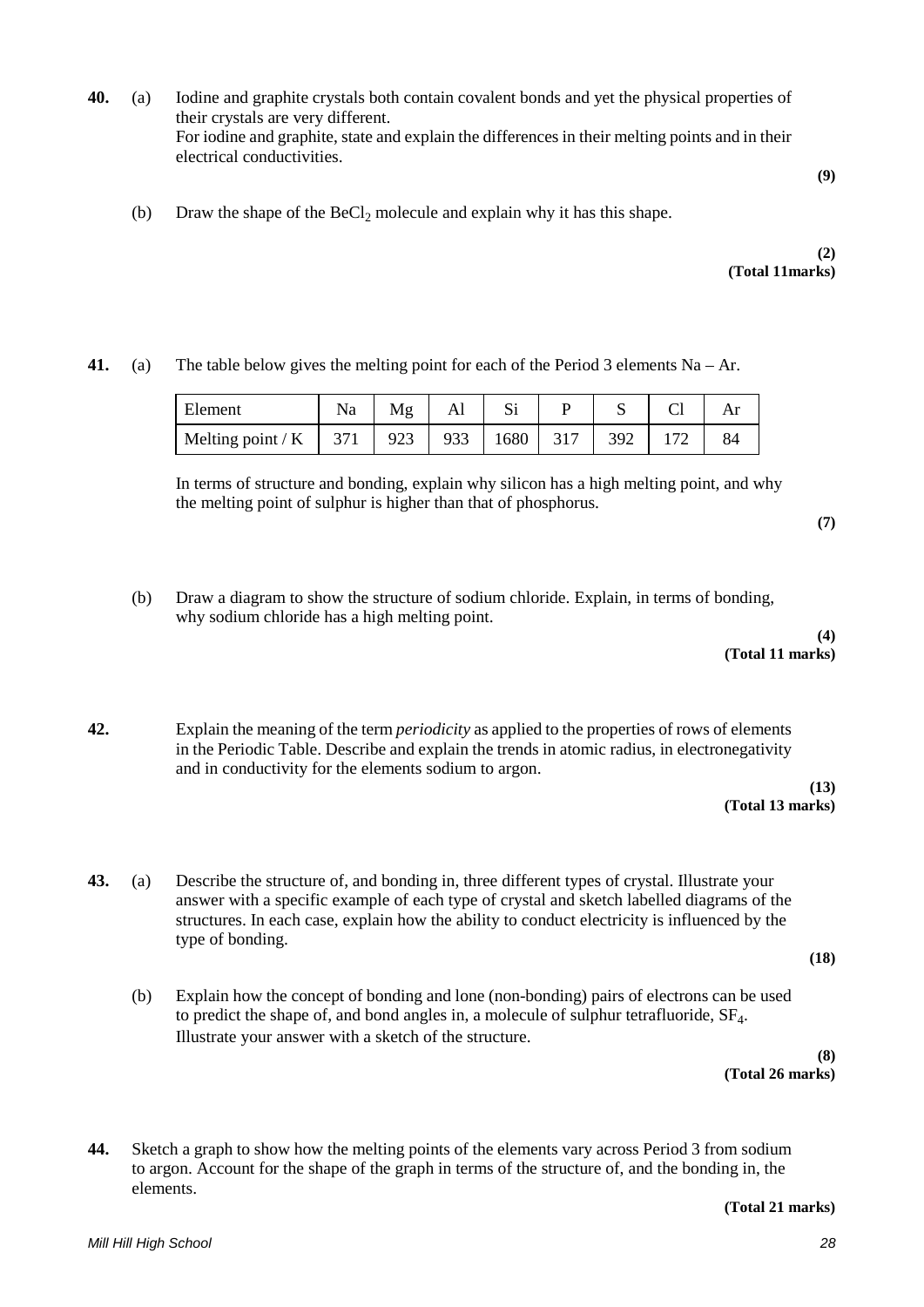**40.** (a) Iodine and graphite crystals both contain covalent bonds and yet the physical properties of their crystals are very different. For iodine and graphite, state and explain the differences in their melting points and in their electrical conductivities.

(b) Draw the shape of the  $BeCl<sub>2</sub>$  molecule and explain why it has this shape.

## **(2) (Total 11marks)**

**41.** (a) The table below gives the melting point for each of the Period 3 elements  $Na - Ar$ .

| Element                 | Na | Mg  | Al  |      |     |     |    |
|-------------------------|----|-----|-----|------|-----|-----|----|
| Melting point / K   371 |    | 923 | 933 | 1680 | 317 | 392 | 84 |

In terms of structure and bonding, explain why silicon has a high melting point, and why the melting point of sulphur is higher than that of phosphorus.

**(7)**

(b) Draw a diagram to show the structure of sodium chloride. Explain, in terms of bonding, why sodium chloride has a high melting point.

**(4) (Total 11 marks)** 

**42.** Explain the meaning of the term *periodicity* as applied to the properties of rows of elements in the Periodic Table. Describe and explain the trends in atomic radius, in electronegativity and in conductivity for the elements sodium to argon.

> **(13) (Total 13 marks)**

- **43.** (a) Describe the structure of, and bonding in, three different types of crystal. Illustrate your answer with a specific example of each type of crystal and sketch labelled diagrams of the structures. In each case, explain how the ability to conduct electricity is influenced by the type of bonding.
	- (b) Explain how the concept of bonding and lone (non-bonding) pairs of electrons can be used to predict the shape of, and bond angles in, a molecule of sulphur tetrafluoride,  $SF<sub>4</sub>$ . Illustrate your answer with a sketch of the structure.

**(8) (Total 26 marks)**

**(18)** 

**44.** Sketch a graph to show how the melting points of the elements vary across Period 3 from sodium to argon. Account for the shape of the graph in terms of the structure of, and the bonding in, the elements.

**(Total 21 marks)**